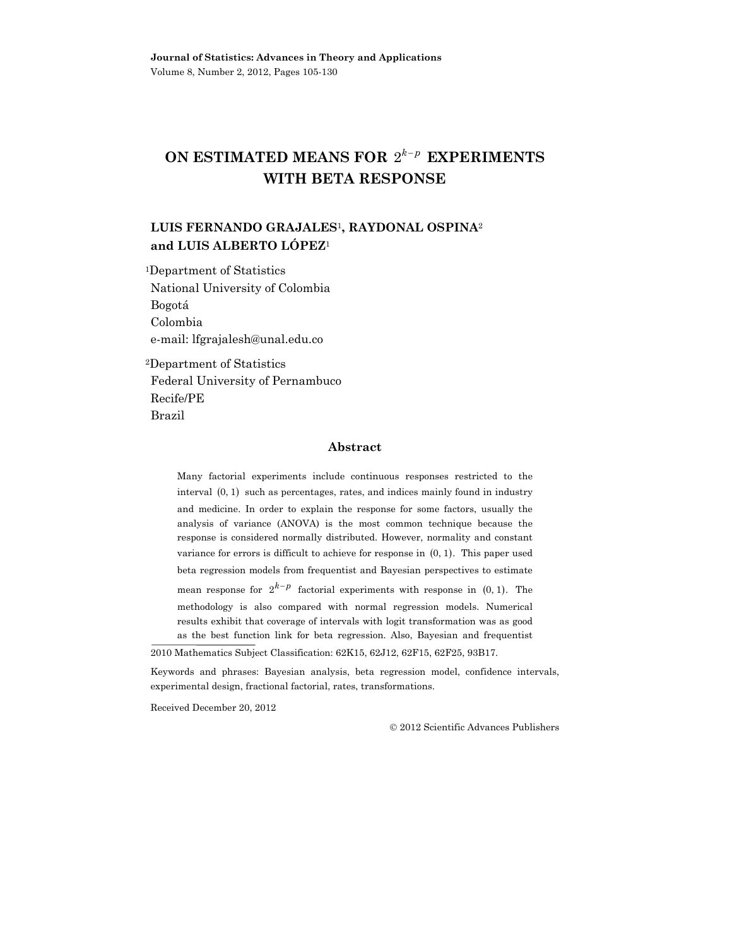# **ON ESTIMATED MEANS FOR**  $2^{k-p}$  **EXPERIMENTS WITH BETA RESPONSE**

# **LUIS FERNANDO GRAJALES**1**, RAYDONAL OSPINA**<sup>2</sup> **and LUIS ALBERTO LÓPEZ**<sup>1</sup>

1Department of Statistics National University of Colombia Bogotá Colombia e-mail: lfgrajalesh@unal.edu.co

2Department of Statistics Federal University of Pernambuco Recife/PE Brazil

#### **Abstract**

Many factorial experiments include continuous responses restricted to the interval  $(0, 1)$  such as percentages, rates, and indices mainly found in industry and medicine. In order to explain the response for some factors, usually the analysis of variance (ANOVA) is the most common technique because the response is considered normally distributed. However, normality and constant variance for errors is difficult to achieve for response in  $(0, 1)$ . This paper used beta regression models from frequentist and Bayesian perspectives to estimate mean response for  $2^{k-p}$  factorial experiments with response in  $(0, 1)$ . The methodology is also compared with normal regression models. Numerical results exhibit that coverage of intervals with logit transformation was as good as the best function link for beta regression. Also, Bayesian and frequentist

Received December 20, 2012

2012 Scientific Advances Publishers

<sup>2010</sup> Mathematics Subject Classification: 62K15, 62J12, 62F15, 62F25, 93B17.

Keywords and phrases: Bayesian analysis, beta regression model, confidence intervals, experimental design, fractional factorial, rates, transformations.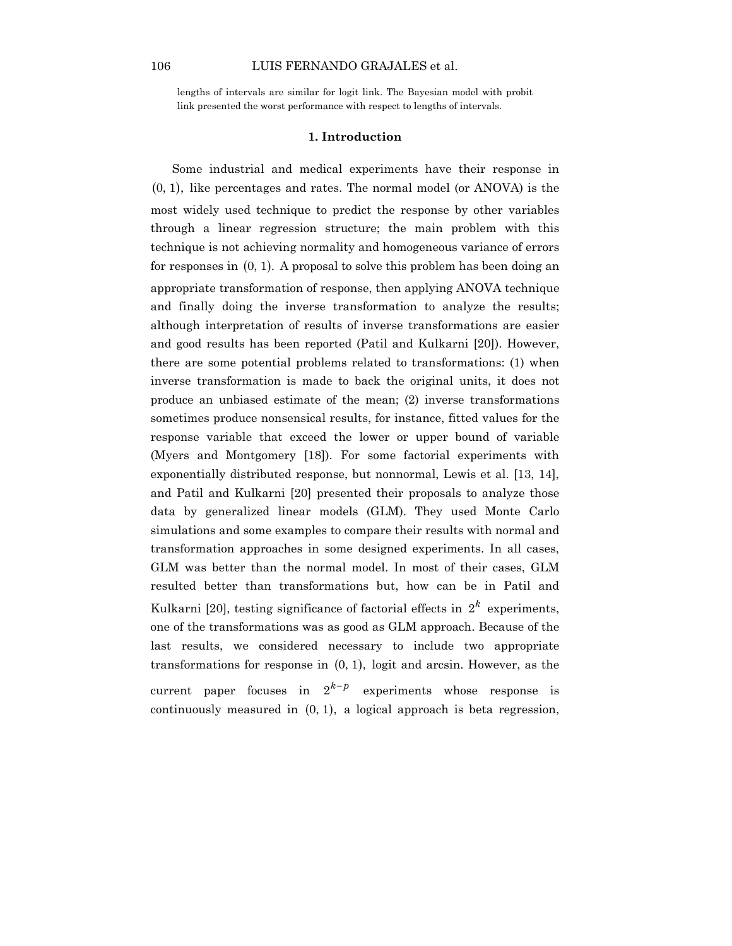lengths of intervals are similar for logit link. The Bayesian model with probit link presented the worst performance with respect to lengths of intervals.

## **1. Introduction**

Some industrial and medical experiments have their response in  $(0, 1)$ , like percentages and rates. The normal model (or ANOVA) is the most widely used technique to predict the response by other variables through a linear regression structure; the main problem with this technique is not achieving normality and homogeneous variance of errors for responses in  $(0, 1)$ . A proposal to solve this problem has been doing an appropriate transformation of response, then applying ANOVA technique and finally doing the inverse transformation to analyze the results; although interpretation of results of inverse transformations are easier and good results has been reported (Patil and Kulkarni [20]). However, there are some potential problems related to transformations: (1) when inverse transformation is made to back the original units, it does not produce an unbiased estimate of the mean; (2) inverse transformations sometimes produce nonsensical results, for instance, fitted values for the response variable that exceed the lower or upper bound of variable (Myers and Montgomery [18]). For some factorial experiments with exponentially distributed response, but nonnormal, Lewis et al. [13, 14], and Patil and Kulkarni [20] presented their proposals to analyze those data by generalized linear models (GLM). They used Monte Carlo simulations and some examples to compare their results with normal and transformation approaches in some designed experiments. In all cases, GLM was better than the normal model. In most of their cases, GLM resulted better than transformations but, how can be in Patil and Kulkarni [20], testing significance of factorial effects in  $2^k$  experiments, one of the transformations was as good as GLM approach. Because of the last results, we considered necessary to include two appropriate transformations for response in (0, 1), logit and arcsin. However, as the current paper focuses in  $2^{k-p}$  experiments whose response is continuously measured in (0, 1), a logical approach is beta regression,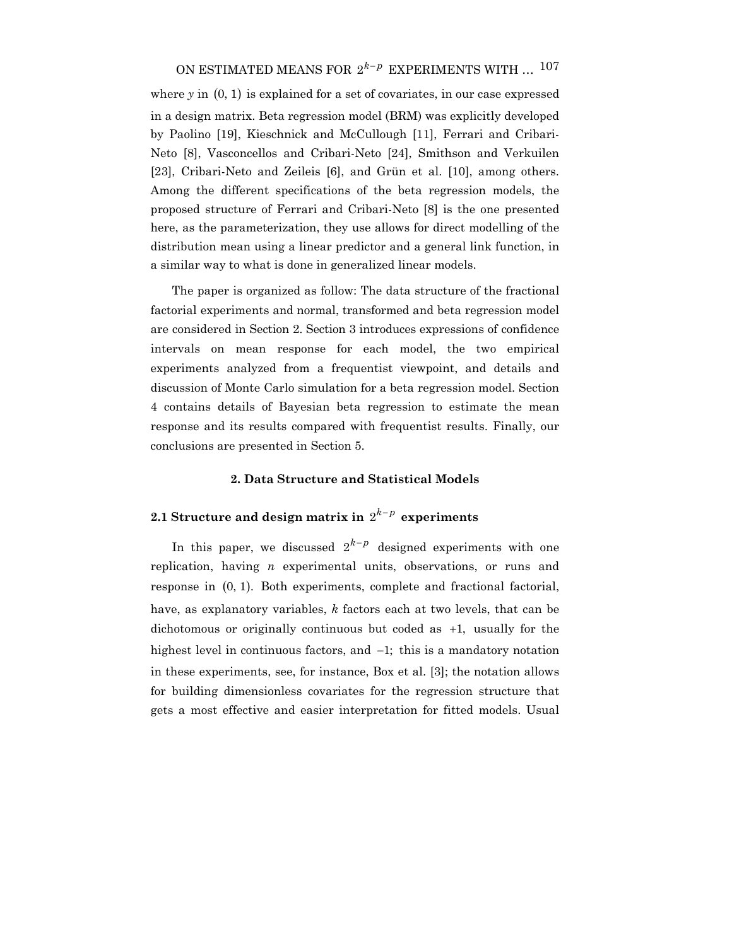where  $\gamma$  in  $(0, 1)$  is explained for a set of covariates, in our case expressed in a design matrix. Beta regression model (BRM) was explicitly developed by Paolino [19], Kieschnick and McCullough [11], Ferrari and Cribari-Neto [8], Vasconcellos and Cribari-Neto [24], Smithson and Verkuilen [23], Cribari-Neto and Zeileis [6], and Grün et al. [10], among others. Among the different specifications of the beta regression models, the proposed structure of Ferrari and Cribari-Neto [8] is the one presented here, as the parameterization, they use allows for direct modelling of the distribution mean using a linear predictor and a general link function, in a similar way to what is done in generalized linear models.

The paper is organized as follow: The data structure of the fractional factorial experiments and normal, transformed and beta regression model are considered in Section 2. Section 3 introduces expressions of confidence intervals on mean response for each model, the two empirical experiments analyzed from a frequentist viewpoint, and details and discussion of Monte Carlo simulation for a beta regression model. Section 4 contains details of Bayesian beta regression to estimate the mean response and its results compared with frequentist results. Finally, our conclusions are presented in Section 5.

# **2. Data Structure and Statistical Models**

# **2.1 Structure and design matrix in**  $2^{k-p}$  experiments

In this paper, we discussed  $2^{k-p}$  designed experiments with one replication, having *n* experimental units, observations, or runs and response in  $(0, 1)$ . Both experiments, complete and fractional factorial, have, as explanatory variables, *k* factors each at two levels, that can be dichotomous or originally continuous but coded as +1, usually for the highest level in continuous factors, and −1; this is a mandatory notation in these experiments, see, for instance, Box et al. [3]; the notation allows for building dimensionless covariates for the regression structure that gets a most effective and easier interpretation for fitted models. Usual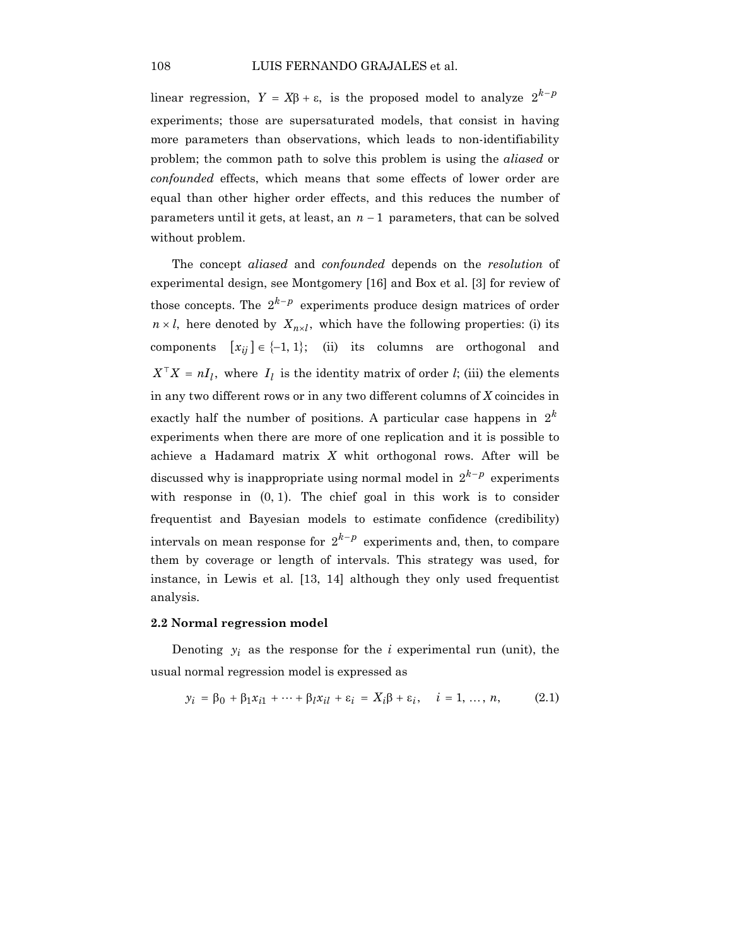linear regression,  $Y = X\beta + \varepsilon$ , is the proposed model to analyze  $2^{k-p}$ experiments; those are supersaturated models, that consist in having more parameters than observations, which leads to non-identifiability problem; the common path to solve this problem is using the *aliased* or *confounded* effects, which means that some effects of lower order are equal than other higher order effects, and this reduces the number of parameters until it gets, at least, an *n* − 1 parameters, that can be solved without problem.

The concept *aliased* and *confounded* depends on the *resolution* of experimental design, see Montgomery [16] and Box et al. [3] for review of those concepts. The  $2^{k-p}$  experiments produce design matrices of order  $n \times l$ , here denoted by  $X_{n \times l}$ , which have the following properties: (i) its components  $[x_{ij}] \in \{-1, 1\};$  *(ii)* its columns are orthogonal and  $X^{\top}X = nI_l$ , where  $I_l$  is the identity matrix of order *l*; (iii) the elements in any two different rows or in any two different columns of *X* coincides in exactly half the number of positions. A particular case happens in  $2<sup>k</sup>$ experiments when there are more of one replication and it is possible to achieve a Hadamard matrix *X* whit orthogonal rows. After will be discussed why is inappropriate using normal model in  $2^{k-p}$  experiments with response in  $(0, 1)$ . The chief goal in this work is to consider frequentist and Bayesian models to estimate confidence (credibility) intervals on mean response for  $2^{k-p}$  experiments and, then, to compare them by coverage or length of intervals. This strategy was used, for instance, in Lewis et al. [13, 14] although they only used frequentist analysis.

#### **2.2 Normal regression model**

Denoting  $y_i$  as the response for the  $i$  experimental run (unit), the usual normal regression model is expressed as

$$
y_i = \beta_0 + \beta_1 x_{i1} + \dots + \beta_l x_{il} + \varepsilon_i = X_i \beta + \varepsilon_i, \quad i = 1, \dots, n,
$$
 (2.1)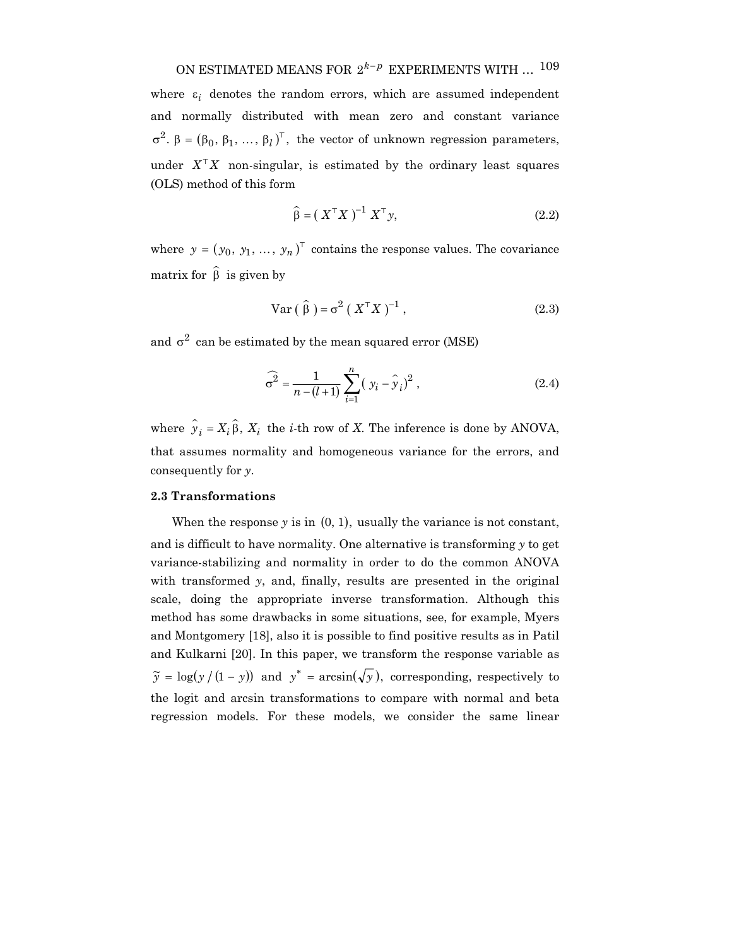# ON ESTIMATED MEANS FOR  $2^{k-p}$  EXPERIMENTS WITH ... <sup>109</sup>

where  $\varepsilon_i$  denotes the random errors, which are assumed independent and normally distributed with mean zero and constant variance  $\sigma^2$ .  $\beta = (\beta_0, \beta_1, ..., \beta_l)^\top$ , the vector of unknown regression parameters, under  $X^{\top}X$  non-singular, is estimated by the ordinary least squares (OLS) method of this form

$$
\widehat{\beta} = \left( \ X^{\top} X \ \right)^{-1} X^{\top} y,\tag{2.2}
$$

where  $y = (y_0, y_1, ..., y_n)^\top$  contains the response values. The covariance matrix for  $\hat{\beta}$  is given by

$$
\text{Var}\left(\hat{\beta}\right) = \sigma^2 \left(X^\top X\right)^{-1},\tag{2.3}
$$

and  $\sigma^2$  can be estimated by the mean squared error (MSE)

$$
\widehat{\sigma}^2 = \frac{1}{n - (l+1)} \sum_{i=1}^n (y_i - \hat{y}_i)^2 ,
$$
 (2.4)

where  $\hat{y}_i = X_i \hat{\beta}$ ,  $X_i$  the *i*-th row of *X*. The inference is done by ANOVA, that assumes normality and homogeneous variance for the errors, and consequently for *y*.

# **2.3 Transformations**

When the response  $y$  is in  $(0, 1)$ , usually the variance is not constant, and is difficult to have normality. One alternative is transforming *y* to get variance-stabilizing and normality in order to do the common ANOVA with transformed *y*, and, finally, results are presented in the original scale, doing the appropriate inverse transformation. Although this method has some drawbacks in some situations, see, for example, Myers and Montgomery [18], also it is possible to find positive results as in Patil and Kulkarni [20]. In this paper, we transform the response variable as  $\widetilde{y} = \log(y/(1-y))$  and  $y^* = \arcsin(\sqrt{y})$ , corresponding, respectively to the logit and arcsin transformations to compare with normal and beta regression models. For these models, we consider the same linear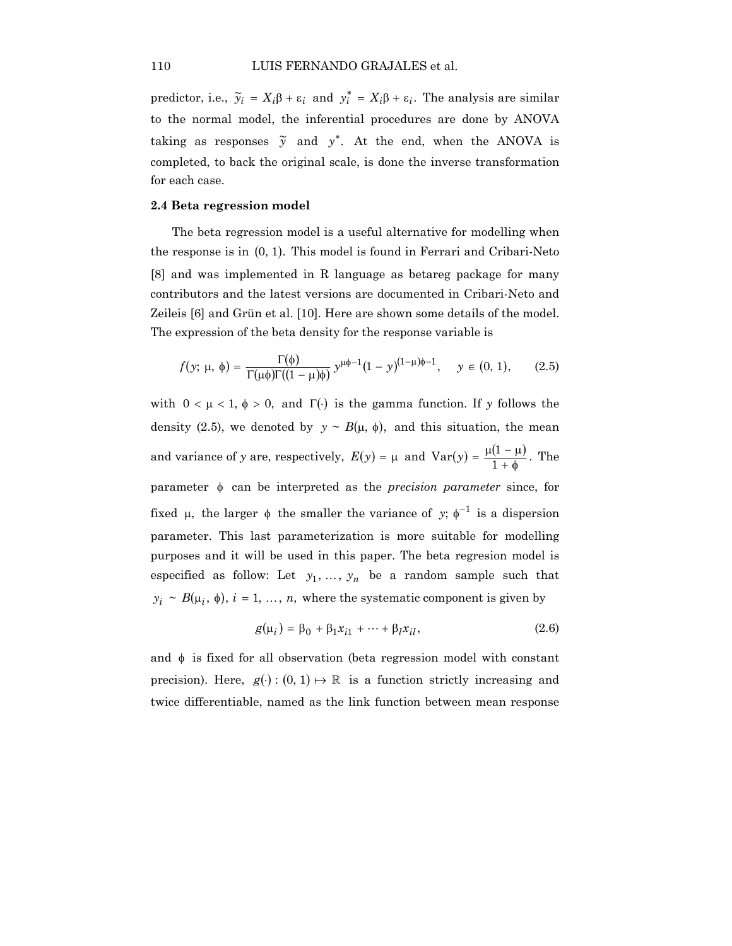predictor, i.e.,  $\tilde{y}_i = X_i \beta + \varepsilon_i$  and  $y_i^* = X_i \beta + \varepsilon_i$ . The analysis are similar to the normal model, the inferential procedures are done by ANOVA taking as responses  $\tilde{y}$  and  $y^*$ . At the end, when the ANOVA is completed, to back the original scale, is done the inverse transformation for each case.

#### **2.4 Beta regression model**

The beta regression model is a useful alternative for modelling when the response is in  $(0, 1)$ . This model is found in Ferrari and Cribari-Neto [8] and was implemented in R language as betareg package for many contributors and the latest versions are documented in Cribari-Neto and Zeileis [6] and Grün et al. [10]. Here are shown some details of the model. The expression of the beta density for the response variable is

$$
f(y; \mu, \phi) = \frac{\Gamma(\phi)}{\Gamma(\mu \phi)\Gamma((1 - \mu)\phi)} y^{\mu \phi - 1} (1 - y)^{(1 - \mu)\phi - 1}, \quad y \in (0, 1), \quad (2.5)
$$

with  $0 < \mu < 1$ ,  $\phi > 0$ , and  $\Gamma(\cdot)$  is the gamma function. If y follows the density (2.5), we denoted by  $y \sim B(\mu, \phi)$ , and this situation, the mean and variance of *y* are, respectively,  $E(y) = \mu$  and  $Var(y) = \frac{\mu(1-\mu)}{1+\phi}$ . The parameter φ can be interpreted as the *precision parameter* since, for fixed  $\mu$ , the larger  $\phi$  the smaller the variance of y;  $\phi^{-1}$  is a dispersion parameter. This last parameterization is more suitable for modelling purposes and it will be used in this paper. The beta regresion model is especified as follow: Let  $y_1, \ldots, y_n$  be a random sample such that  $y_i \sim B(\mu_i, \phi), i = 1, ..., n$ , where the systematic component is given by

$$
g(\mu_i) = \beta_0 + \beta_1 x_{i1} + \dots + \beta_l x_{il},
$$
 (2.6)

and  $\phi$  is fixed for all observation (beta regression model with constant precision). Here,  $g(\cdot) : (0, 1) \mapsto \mathbb{R}$  is a function strictly increasing and twice differentiable, named as the link function between mean response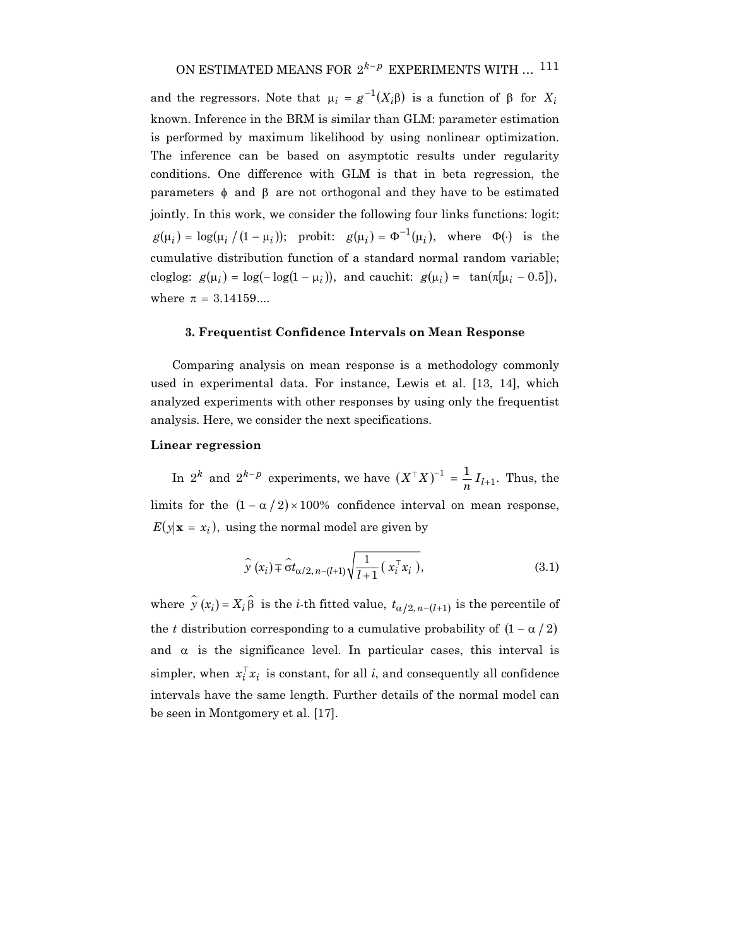and the regressors. Note that  $\mu_i = g^{-1}(X_i \beta)$  is a function of  $\beta$  for  $X_i$ known. Inference in the BRM is similar than GLM: parameter estimation is performed by maximum likelihood by using nonlinear optimization. The inference can be based on asymptotic results under regularity conditions. One difference with GLM is that in beta regression, the parameters  $φ$  and  $β$  are not orthogonal and they have to be estimated jointly. In this work, we consider the following four links functions: logit:  $g(\mu_i) = \log(\mu_i / (1 - \mu_i))$ ; probit:  $g(\mu_i) = \Phi^{-1}(\mu_i)$ , where  $\Phi(\cdot)$  is the cumulative distribution function of a standard normal random variable; cloglog:  $g(\mu_i) = \log(-\log(1 - \mu_i))$ , and cauchit:  $g(\mu_i) = \tan(\pi[\mu_i - 0.5])$ , where  $\pi = 3.14159...$ 

## **3. Frequentist Confidence Intervals on Mean Response**

Comparing analysis on mean response is a methodology commonly used in experimental data. For instance, Lewis et al. [13, 14], which analyzed experiments with other responses by using only the frequentist analysis. Here, we consider the next specifications.

# **Linear regression**

In  $2^k$  and  $2^{k-p}$  experiments, we have  $(X^{\top}X)^{-1} = \frac{1}{n} I_{l+1}$ . Thus, the limits for the  $(1 - \alpha / 2) \times 100\%$  confidence interval on mean response,  $E(y|\mathbf{x} = x_i)$ , using the normal model are given by

$$
\widehat{\mathbf{y}}\left(x_{i}\right) \widehat{\mathbf{z}}\widehat{\sigma} t_{\alpha/2, n-(l+1)}\sqrt{\frac{1}{l+1}\left(x_{i}^{\top} x_{i}\right)},\tag{3.1}
$$

where  $\hat{y}(x_i) = X_i \hat{\beta}$  is the *i*-th fitted value,  $t_{\alpha/2,n-(l+1)}$  is the percentile of the *t* distribution corresponding to a cumulative probability of  $(1 - \alpha / 2)$ and  $\alpha$  is the significance level. In particular cases, this interval is simpler, when  $x_i^{\mathsf{T}} x_i$  is constant, for all *i*, and consequently all confidence intervals have the same length. Further details of the normal model can be seen in Montgomery et al. [17].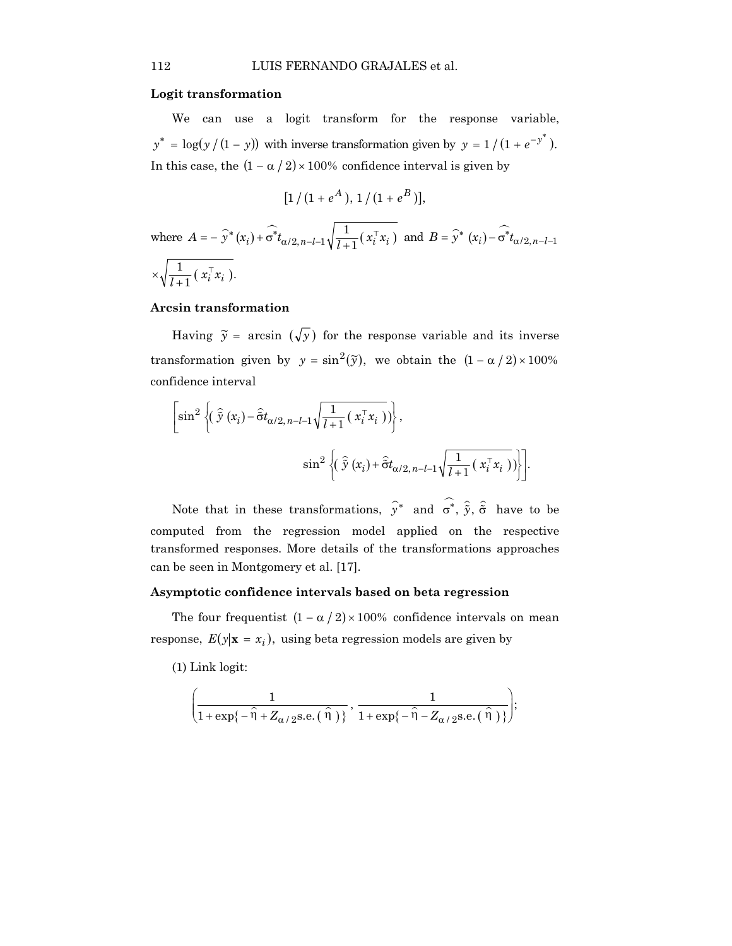#### **Logit transformation**

We can use a logit transform for the response variable,  $y^* = \log(y/(1-y))$  with inverse transformation given by  $y = 1/(1 + e^{-y^*})$ . In this case, the  $(1 - \alpha / 2) \times 100\%$  confidence interval is given by

$$
[1/(1+e^A), 1/(1+e^B)],
$$

where  $A = -\hat{y}^*(x_i) + \hat{\sigma}^* t_{\alpha/2, n-l-1} \sqrt{\frac{1}{l+1}} (x_i^{\top} x_i)$  and  $B = \hat{y}^*(x_i) - \hat{\sigma}^* t_{\alpha/2, n-l-1}$  $\times \sqrt{\frac{1}{l+1}} (\; x_i^\top x_i \; ).$ 

# **Arcsin transformation**

Having  $\tilde{y}$  = arcsin  $(\sqrt{y})$  for the response variable and its inverse transformation given by  $y = sin^2(\tilde{y})$ , we obtain the  $(1 - \alpha / 2) \times 100\%$ confidence interval

$$
\left[\sin^2\left\{ \left(\hat{\tilde{y}}\left(x_i\right) - \hat{\tilde{\sigma}}t_{\alpha/2,n-l-1}\sqrt{\frac{1}{l+1}\left(x_i^{\top}x_i\right)}\right)\right\},\right.\\
\left.\sin^2\left\{ \left(\hat{\tilde{y}}\left(x_i\right) + \hat{\tilde{\sigma}}t_{\alpha/2,n-l-1}\sqrt{\frac{1}{l+1}\left(x_i^{\top}x_i\right)}\right)\right\} \right].
$$

Note that in these transformations,  $\hat{y}^*$  and  $\hat{\sigma}^*$ ,  $\hat{\tilde{y}}$ ,  $\hat{\tilde{\sigma}}$  have to be computed from the regression model applied on the respective transformed responses. More details of the transformations approaches can be seen in Montgomery et al. [17].

#### **Asymptotic confidence intervals based on beta regression**

The four frequentist  $(1 - \alpha / 2) \times 100\%$  confidence intervals on mean response,  $E(y|\mathbf{x} = x_i)$ , using beta regression models are given by

(1) Link logit:

$$
\left(\frac{1}{1+\exp\{-\hat{\eta}+Z_{\alpha/2}\text{s.e.}(\hat{\eta})\}},\frac{1}{1+\exp\{-\hat{\eta}-Z_{\alpha/2}\text{s.e.}(\hat{\eta})\}}\right);
$$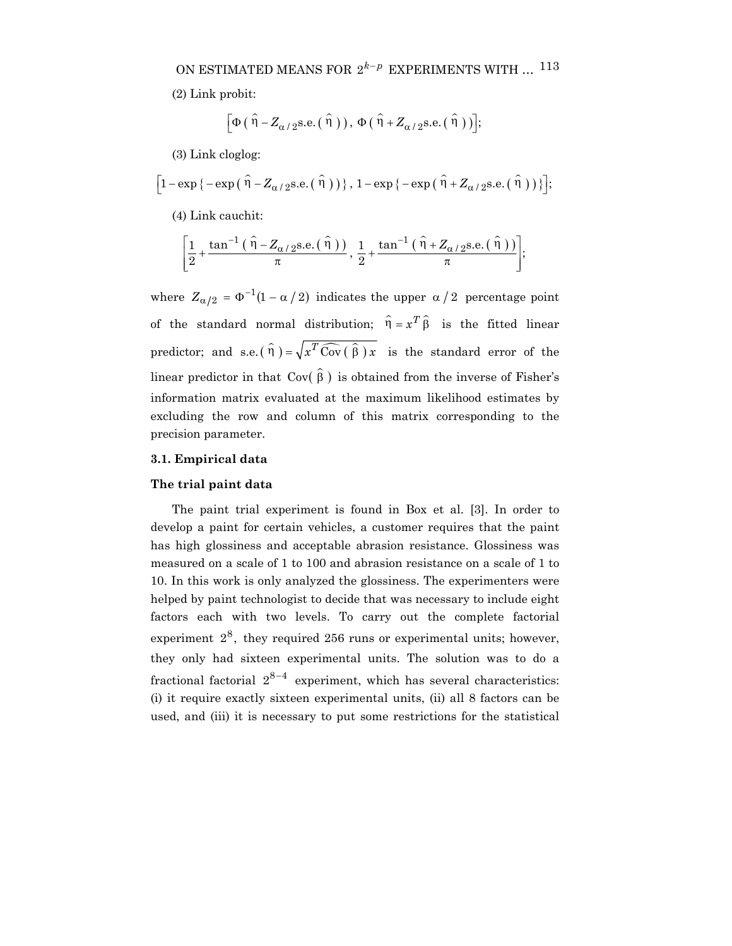(2) Link probit:

$$
\left[\Phi\left(\hat{\eta} - Z_{\alpha/2} \text{s.e.}\left(\hat{\eta}\right)\right), \Phi\left(\hat{\eta} + Z_{\alpha/2} \text{s.e.}\left(\hat{\eta}\right)\right)\right];
$$

(3) Link cloglog:

$$
\left[1-\exp\left\{-\exp\left(\hat{\eta}-Z_{\alpha/2}\right)\text{s.e.}\left(\hat{\eta}\right)\right)\right\},1-\exp\left\{-\exp\left(\hat{\eta}+Z_{\alpha/2}\text{s.e.}\left(\hat{\eta}\right)\right)\right\}\right];
$$

(4) Link cauchit:

$$
\left[\frac{1}{2}+\frac{\tan^{-1}\left(\hat{\eta}-Z_{\alpha/2}\text{s.e.}\left(\hat{\eta}\right)\right)}{\pi},\frac{1}{2}+\frac{\tan^{-1}\left(\hat{\eta}+Z_{\alpha/2}\text{s.e.}\left(\hat{\eta}\right)\right)}{\pi}\right];
$$

where  $Z_{\alpha/2} = \Phi^{-1}(1 - \alpha / 2)$  indicates the upper  $\alpha / 2$  percentage point of the standard normal distribution;  $\hat{\eta} = x^T \hat{\beta}$  is the fitted linear predictor; and s.e.( $\hat{\eta}$ ) =  $\sqrt{x^T \widehat{\text{Cov}}(\hat{\beta}) x}$  is the standard error of the linear predictor in that  $Cov(\hat{\beta})$  is obtained from the inverse of Fisher's information matrix evaluated at the maximum likelihood estimates by excluding the row and column of this matrix corresponding to the precision parameter.

#### **3.1. Empirical data**

#### **The trial paint data**

The paint trial experiment is found in Box et al. [3]. In order to develop a paint for certain vehicles, a customer requires that the paint has high glossiness and acceptable abrasion resistance. Glossiness was measured on a scale of 1 to 100 and abrasion resistance on a scale of 1 to 10. In this work is only analyzed the glossiness. The experimenters were helped by paint technologist to decide that was necessary to include eight factors each with two levels. To carry out the complete factorial experiment  $2^8$ , they required 256 runs or experimental units; however, they only had sixteen experimental units. The solution was to do a fractional factorial  $2^{8-4}$  experiment, which has several characteristics: (i) it require exactly sixteen experimental units, (ii) all 8 factors can be used, and (iii) it is necessary to put some restrictions for the statistical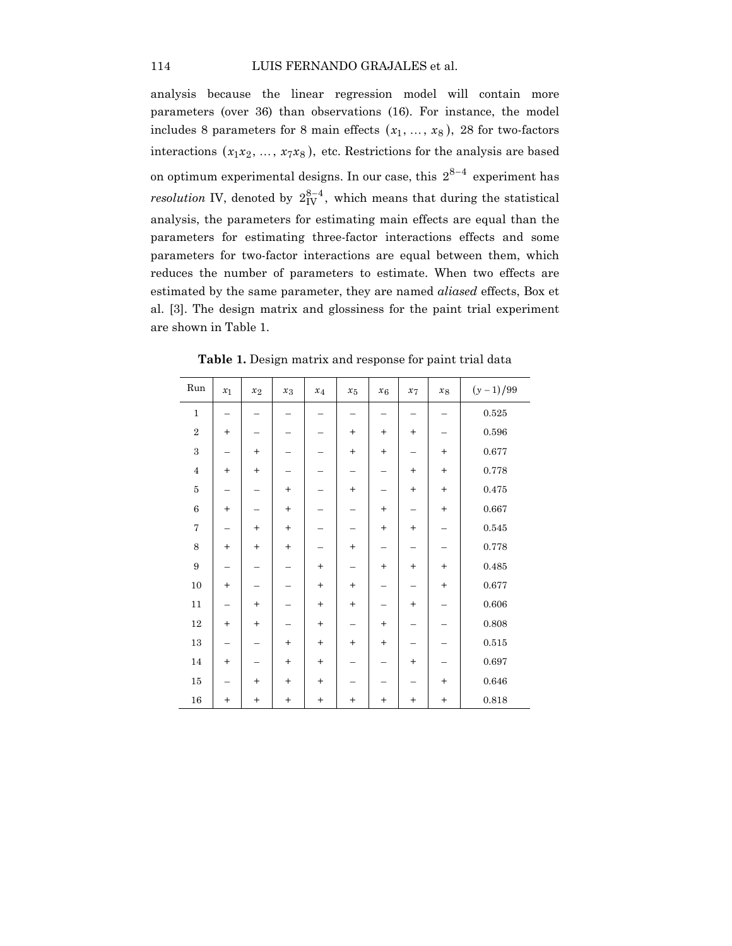analysis because the linear regression model will contain more parameters (over 36) than observations (16). For instance, the model includes 8 parameters for 8 main effects  $(x_1, ..., x_8)$ , 28 for two-factors interactions  $(x_1x_2, ..., x_7x_8)$ , etc. Restrictions for the analysis are based on optimum experimental designs. In our case, this  $2^{8-4}$  experiment has *resolution* IV, denoted by  $2_{\text{IV}}^{8-4}$ , which means that during the statistical analysis, the parameters for estimating main effects are equal than the parameters for estimating three-factor interactions effects and some parameters for two-factor interactions are equal between them, which reduces the number of parameters to estimate. When two effects are estimated by the same parameter, they are named *aliased* effects, Box et al. [3]. The design matrix and glossiness for the paint trial experiment are shown in Table 1.

| Run                     | $x_1$  | $x_2$     | $x_3$     | $x_4$     | $x_{5}$   | $x_6$           | $x_7$     | $x_8$     | $(y-1)/99$  |
|-------------------------|--------|-----------|-----------|-----------|-----------|-----------------|-----------|-----------|-------------|
| $\mathbf 1$             |        |           |           |           |           |                 |           |           | $\,0.525\,$ |
| $\overline{2}$          | $^{+}$ |           |           |           | $^{+}$    | $^{+}$          | $\ddot{}$ |           | $\,0.596\,$ |
| $\overline{\mathbf{3}}$ |        | $+$       |           |           | $^{+}$    | $^{+}$          |           | $^{+}$    | 0.677       |
| $\bf 4$                 | $^{+}$ | $+$       |           |           |           |                 | $^{+}$    | $\ddot{}$ | 0.778       |
| $\bf 5$                 |        |           | $^{+}$    |           | $\ddot{}$ |                 | $^{+}$    | $\ddot{}$ | 0.475       |
| $\overline{6}$          | $^{+}$ |           | $^{+}$    |           |           | $^{+}$          |           | $\ddot{}$ | 0.667       |
| $\overline{7}$          |        | $^{+}$    | $\ddot{}$ |           |           | $^{+}$          | $^{+}$    |           | 0.545       |
| 8                       | $^{+}$ | $^{+}$    | $^{+}$    |           | $\ddot{}$ |                 | -         |           | 0.778       |
| 9                       |        |           |           | $\ddot{}$ |           | $^{+}$          | $\ddot{}$ | $\ddot{}$ | 0.485       |
| $10\,$                  | $^{+}$ |           |           | $^{+}$    | $\ddot{}$ |                 |           | $^{+}$    | 0.677       |
| 11                      |        | $+$       |           | $^{+}$    | $\ddot{}$ |                 | $^{+}$    |           | $0.606\,$   |
| $12\,$                  | $^{+}$ | $+$       |           | $\ddot{}$ |           | $\! + \!\!\!\!$ |           |           | 0.808       |
| $13\,$                  | -      |           | $^{+}$    | $^{+}$    | $\ddot{}$ | $^{+}$          |           |           | $0.515\,$   |
| $14\,$                  | $^{+}$ |           | $^{+}$    | $\ddot{}$ | -         |                 | $^{+}$    |           | 0.697       |
| $15\,$                  |        | $+$       | $\ddot{}$ | $\ddot{}$ |           |                 |           | $\ddot{}$ | $\,0.646\,$ |
| 16                      | $^{+}$ | $\ddot{}$ | $^{+}$    | $\ddot{}$ | $^{+}$    | $^{+}$          | $\ddot{}$ | $\ddot{}$ | 0.818       |

**Table 1.** Design matrix and response for paint trial data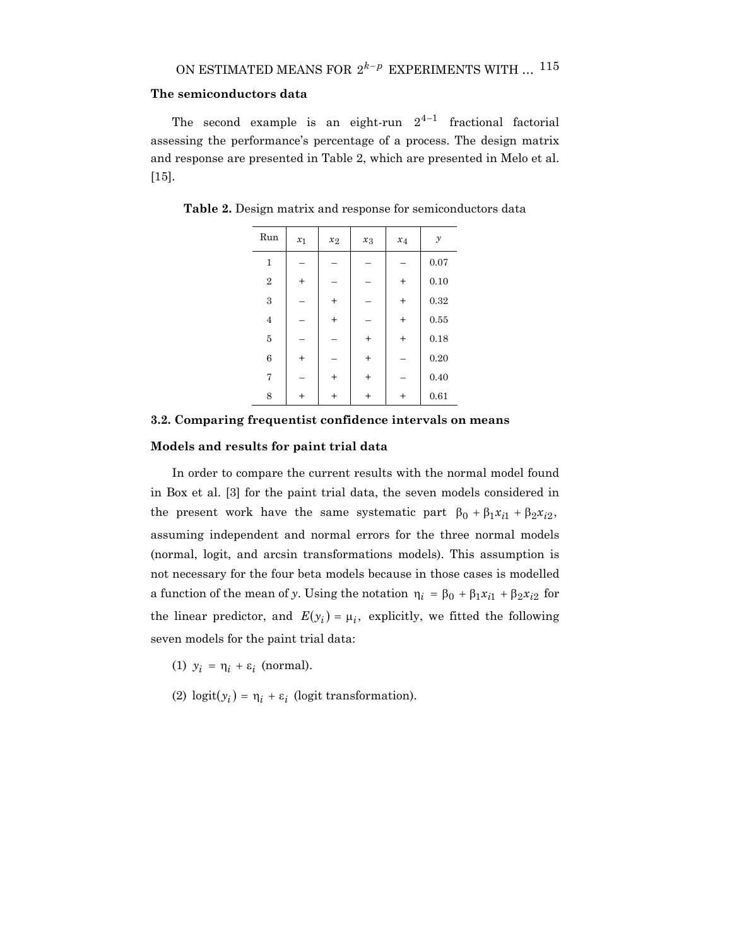# **The semiconductors data**

The second example is an eight-run  $2^{4-1}$  fractional factorial assessing the performance's percentage of a process. The design matrix and response are presented in Table 2, which are presented in Melo et al. [15].

| Run              | $x_1$     | $x_2$          | $x_3$     | $x_4$  | $\mathcal{Y}$ |
|------------------|-----------|----------------|-----------|--------|---------------|
| $\mathbf{1}$     |           |                |           |        | 0.07          |
| $\boldsymbol{2}$ | $^{+}$    |                |           | $^{+}$ | 0.10          |
| 3                |           | $^{+}$         |           | $^{+}$ | 0.32          |
| $\overline{4}$   |           | $\overline{+}$ |           | $^{+}$ | 0.55          |
| 5                |           |                | $^{+}$    | $^{+}$ | 0.18          |
| 6                | $\ddot{}$ |                | $^{+}$    |        | 0.20          |
| 7                |           | $\ddot{}$      | $\ddot{}$ |        | 0.40          |
| 8                | $\,^+$    | $\,^+$         | $\ddot{}$ | $\,^+$ | 0.61          |

**Table 2.** Design matrix and response for semiconductors data

# **3.2. Comparing frequentist confidence intervals on means**

#### **Models and results for paint trial data**

In order to compare the current results with the normal model found in Box et al. [3] for the paint trial data, the seven models considered in the present work have the same systematic part  $\beta_0 + \beta_1 x_{i1} + \beta_2 x_{i2}$ , assuming independent and normal errors for the three normal models (normal, logit, and arcsin transformations models). This assumption is not necessary for the four beta models because in those cases is modelled a function of the mean of *y*. Using the notation  $\eta_i = \beta_0 + \beta_1 x_{i1} + \beta_2 x_{i2}$  for the linear predictor, and  $E(y_i) = \mu_i$ , explicitly, we fitted the following seven models for the paint trial data:

- (1)  $y_i = \eta_i + \varepsilon_i$  (normal).
- (2)  $logit(y_i) = \eta_i + \varepsilon_i$  (logit transformation).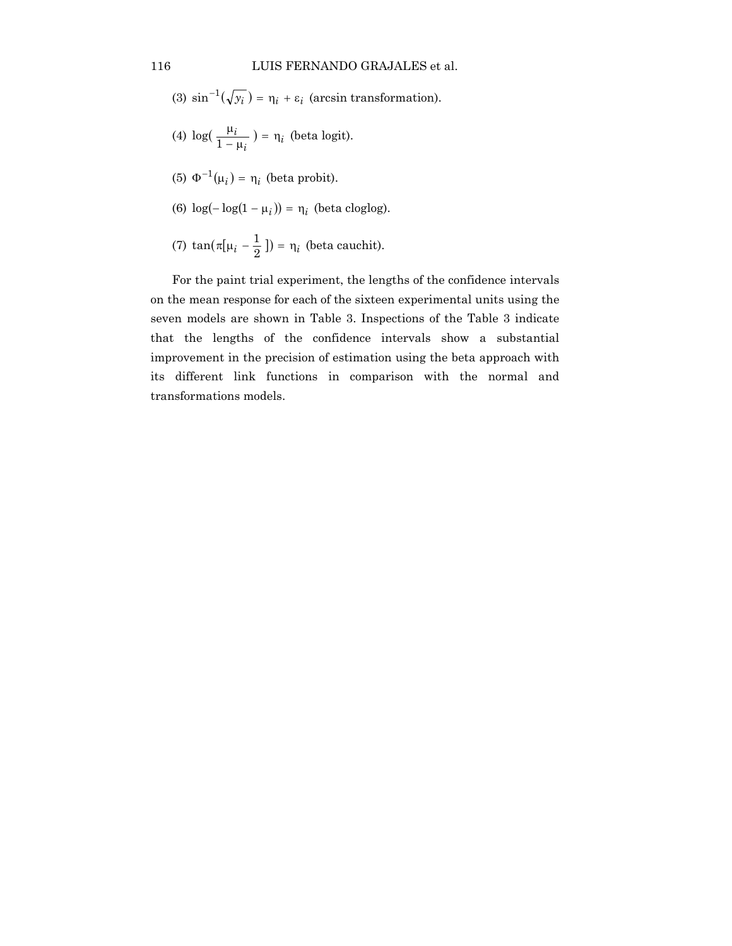(3) 
$$
\sin^{-1}(\sqrt{y_i}) = \eta_i + \varepsilon_i
$$
 (arcsin transformation).

- (4)  $log(\frac{\mu_i}{1-\mu_i}) = \eta_i$  (beta logit).
- (5)  $\Phi^{-1}(\mu_i) = \eta_i$  (beta probit).
- (6)  $\log(-\log(1 \mu_i)) = \eta_i$  (beta cloglog).
- (7)  $\tan(\pi[\mu_i \frac{1}{2}]) = \eta_i$  (beta cauchit).

For the paint trial experiment, the lengths of the confidence intervals on the mean response for each of the sixteen experimental units using the seven models are shown in Table 3. Inspections of the Table 3 indicate that the lengths of the confidence intervals show a substantial improvement in the precision of estimation using the beta approach with its different link functions in comparison with the normal and transformations models.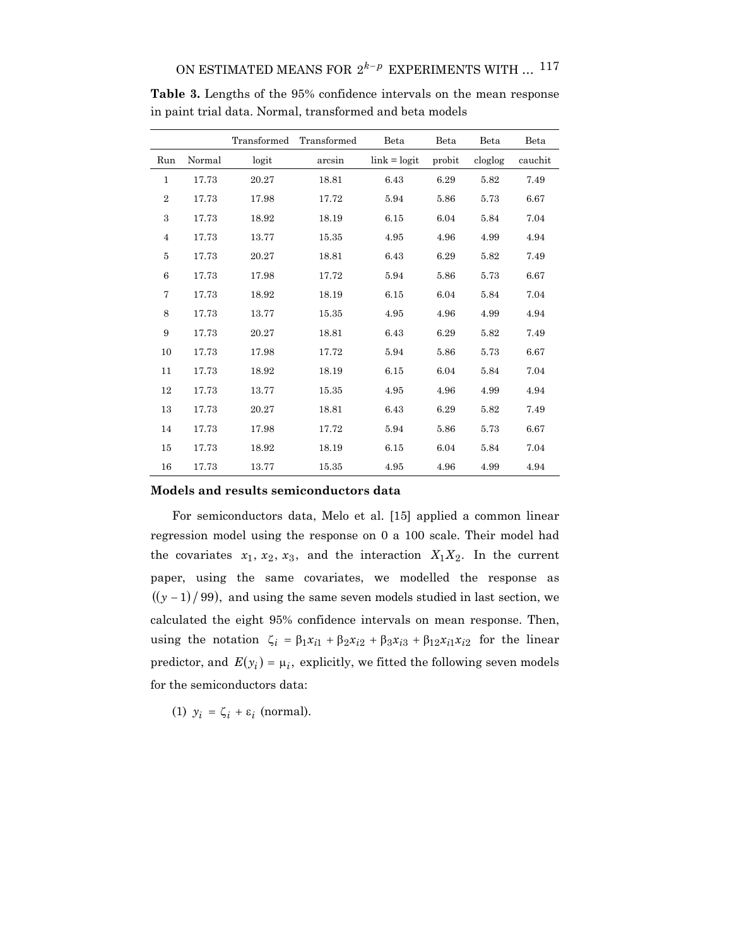|                 |        | Transformed | Transformed | Beta           | Beta   | Beta    | Beta    |
|-----------------|--------|-------------|-------------|----------------|--------|---------|---------|
| Run             | Normal | logit       | arcsin      | $link = logit$ | probit | cloglog | cauchit |
| $\mathbf{1}$    | 17.73  | 20.27       | 18.81       | 6.43           | 6.29   | 5.82    | 7.49    |
| $\overline{2}$  | 17.73  | 17.98       | 17.72       | 5.94           | 5.86   | 5.73    | 6.67    |
| 3               | 17.73  | 18.92       | 18.19       | 6.15           | 6.04   | 5.84    | 7.04    |
| $\overline{4}$  | 17.73  | 13.77       | 15.35       | 4.95           | 4.96   | 4.99    | 4.94    |
| 5               | 17.73  | 20.27       | 18.81       | 6.43           | 6.29   | 5.82    | 7.49    |
| $6\phantom{.}6$ | 17.73  | 17.98       | 17.72       | 5.94           | 5.86   | 5.73    | 6.67    |
| 7               | 17.73  | 18.92       | 18.19       | 6.15           | 6.04   | 5.84    | 7.04    |
| 8               | 17.73  | 13.77       | 15.35       | 4.95           | 4.96   | 4.99    | 4.94    |
| 9               | 17.73  | 20.27       | 18.81       | 6.43           | 6.29   | 5.82    | 7.49    |
| 10              | 17.73  | 17.98       | 17.72       | 5.94           | 5.86   | 5.73    | 6.67    |
| 11              | 17.73  | 18.92       | 18.19       | 6.15           | 6.04   | 5.84    | 7.04    |
| 12              | 17.73  | 13.77       | 15.35       | 4.95           | 4.96   | 4.99    | 4.94    |
| 13              | 17.73  | 20.27       | 18.81       | 6.43           | 6.29   | 5.82    | 7.49    |
| 14              | 17.73  | 17.98       | 17.72       | 5.94           | 5.86   | 5.73    | 6.67    |
| 15              | 17.73  | 18.92       | 18.19       | 6.15           | 6.04   | 5.84    | 7.04    |
| 16              | 17.73  | 13.77       | 15.35       | 4.95           | 4.96   | 4.99    | 4.94    |

**Table 3.** Lengths of the 95% confidence intervals on the mean response in paint trial data. Normal, transformed and beta models

#### **Models and results semiconductors data**

For semiconductors data, Melo et al. [15] applied a common linear regression model using the response on 0 a 100 scale. Their model had the covariates  $x_1, x_2, x_3$ , and the interaction  $X_1X_2$ . In the current paper, using the same covariates, we modelled the response as  $((y - 1) / 99)$ , and using the same seven models studied in last section, we calculated the eight 95% confidence intervals on mean response. Then, using the notation  $\zeta_i = \beta_1 x_{i1} + \beta_2 x_{i2} + \beta_3 x_{i3} + \beta_{12} x_{i1} x_{i2}$  for the linear predictor, and  $E(y_i) = \mu_i$ , explicitly, we fitted the following seven models for the semiconductors data:

(1)  $y_i = \zeta_i + \varepsilon_i$  (normal).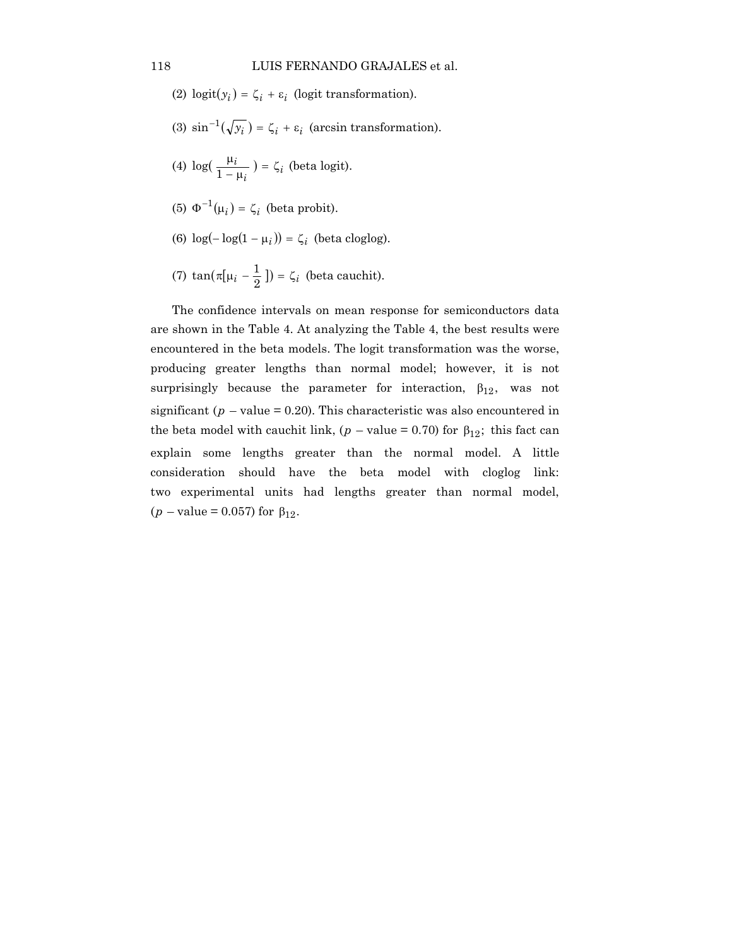- (2)  $logit(y_i) = \zeta_i + \varepsilon_i$  (logit transformation).
- (3)  $\sin^{-1}(\sqrt{y_i}) = \zeta_i + \varepsilon_i$  (arcsin transformation).
- (4)  $log(\frac{\mu_i}{1-\mu_i}) = \zeta_i$  (beta logit).
- (5)  $\Phi^{-1}(\mu_i) = \zeta_i$  (beta probit).
- (6)  $\log(-\log(1 \mu_i)) = \zeta_i$  (beta cloglog).
- (7)  $\tan(\pi[\mu_i \frac{1}{2}]) = \zeta_i$  (beta cauchit).

The confidence intervals on mean response for semiconductors data are shown in the Table 4. At analyzing the Table 4, the best results were encountered in the beta models. The logit transformation was the worse, producing greater lengths than normal model; however, it is not surprisingly because the parameter for interaction,  $\beta_{12}$ , was not significant ( $p$  – value = 0.20). This characteristic was also encountered in the beta model with cauchit link,  $(p - value = 0.70)$  for  $\beta_{12}$ ; this fact can explain some lengths greater than the normal model. A little consideration should have the beta model with cloglog link: two experimental units had lengths greater than normal model,  $(p - value = 0.057)$  for  $\beta_{12}$ .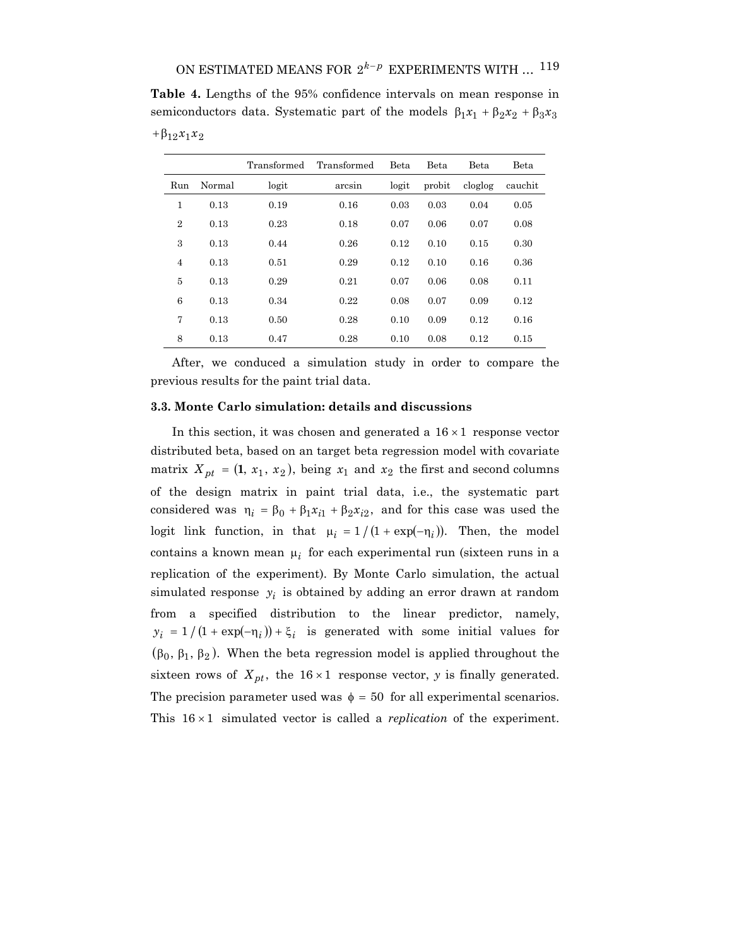**Table 4.** Lengths of the 95% confidence intervals on mean response in semiconductors data. Systematic part of the models  $\beta_1 x_1 + \beta_2 x_2 + \beta_3 x_3$ +β12*x*1*x*<sup>2</sup>

|                |        | Transformed | Transformed | <b>Beta</b> | <b>Beta</b> | <b>Beta</b> | Beta    |
|----------------|--------|-------------|-------------|-------------|-------------|-------------|---------|
| Run            | Normal | logit       | arcsin      | logit       | probit      | cloglog     | cauchit |
| 1              | 0.13   | 0.19        | 0.16        | 0.03        | 0.03        | 0.04        | 0.05    |
| $\overline{2}$ | 0.13   | 0.23        | 0.18        | 0.07        | 0.06        | 0.07        | 0.08    |
| 3              | 0.13   | 0.44        | 0.26        | 0.12        | 0.10        | 0.15        | 0.30    |
| $\overline{4}$ | 0.13   | 0.51        | 0.29        | 0.12        | 0.10        | 0.16        | 0.36    |
| 5              | 0.13   | 0.29        | 0.21        | 0.07        | 0.06        | 0.08        | 0.11    |
| 6              | 0.13   | 0.34        | 0.22        | 0.08        | 0.07        | 0.09        | 0.12    |
| 7              | 0.13   | 0.50        | 0.28        | 0.10        | 0.09        | 0.12        | 0.16    |
| 8              | 0.13   | 0.47        | 0.28        | 0.10        | 0.08        | 0.12        | 0.15    |

After, we conduced a simulation study in order to compare the previous results for the paint trial data.

## **3.3. Monte Carlo simulation: details and discussions**

In this section, it was chosen and generated a  $16 \times 1$  response vector distributed beta, based on an target beta regression model with covariate matrix  $X_{pt} = (1, x_1, x_2)$ , being  $x_1$  and  $x_2$  the first and second columns of the design matrix in paint trial data, i.e., the systematic part considered was  $\eta_i = \beta_0 + \beta_1 x_{i1} + \beta_2 x_{i2}$ , and for this case was used the logit link function, in that  $\mu_i = 1/(1 + \exp(-\eta_i))$ . Then, the model contains a known mean  $\mu_i$  for each experimental run (sixteen runs in a replication of the experiment). By Monte Carlo simulation, the actual simulated response  $y_i$  is obtained by adding an error drawn at random from a specified distribution to the linear predictor, namely,  $y_i = 1/(1 + \exp(-\eta_i)) + \xi_i$  is generated with some initial values for  $(\beta_0, \beta_1, \beta_2)$ . When the beta regression model is applied throughout the sixteen rows of  $X_{pt}$ , the 16 × 1 response vector, *y* is finally generated. The precision parameter used was  $\phi = 50$  for all experimental scenarios. This 16 × 1 simulated vector is called a *replication* of the experiment.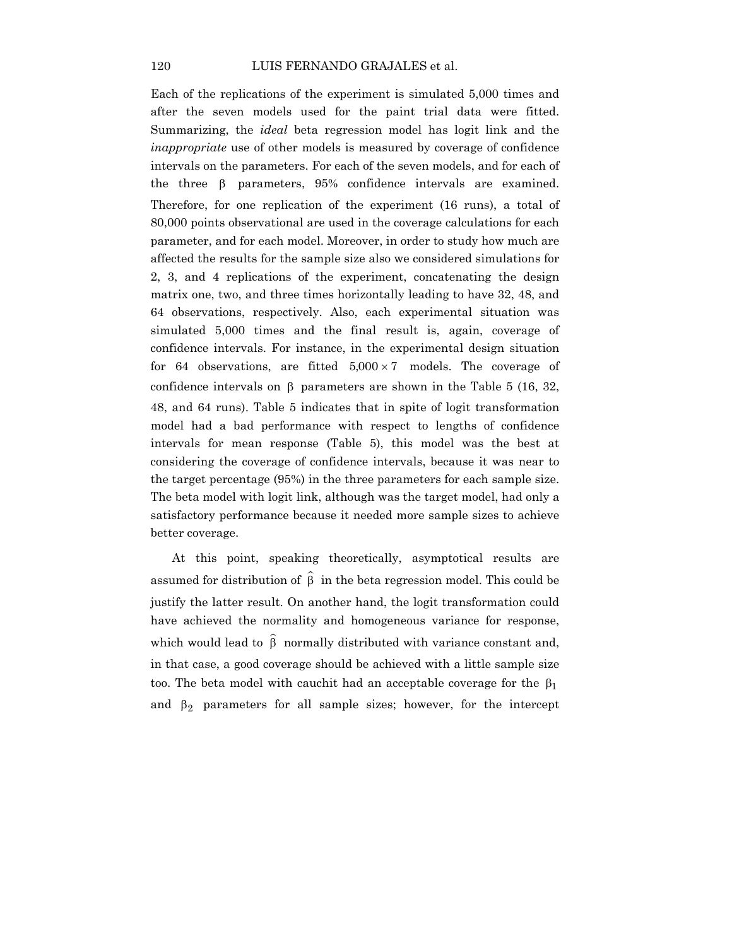Each of the replications of the experiment is simulated 5,000 times and after the seven models used for the paint trial data were fitted. Summarizing, the *ideal* beta regression model has logit link and the *inappropriate* use of other models is measured by coverage of confidence intervals on the parameters. For each of the seven models, and for each of the three  $\beta$  parameters, 95% confidence intervals are examined. Therefore, for one replication of the experiment (16 runs), a total of 80,000 points observational are used in the coverage calculations for each parameter, and for each model. Moreover, in order to study how much are affected the results for the sample size also we considered simulations for 2, 3, and 4 replications of the experiment, concatenating the design matrix one, two, and three times horizontally leading to have 32, 48, and 64 observations, respectively. Also, each experimental situation was simulated 5,000 times and the final result is, again, coverage of confidence intervals. For instance, in the experimental design situation for 64 observations, are fitted  $5,000 \times 7$  models. The coverage of confidence intervals on β parameters are shown in the Table 5 (16, 32, 48, and 64 runs). Table 5 indicates that in spite of logit transformation model had a bad performance with respect to lengths of confidence intervals for mean response (Table 5), this model was the best at considering the coverage of confidence intervals, because it was near to the target percentage (95%) in the three parameters for each sample size. The beta model with logit link, although was the target model, had only a satisfactory performance because it needed more sample sizes to achieve better coverage.

At this point, speaking theoretically, asymptotical results are assumed for distribution of  $\hat{\beta}$  in the beta regression model. This could be justify the latter result. On another hand, the logit transformation could have achieved the normality and homogeneous variance for response, which would lead to  $\hat{\beta}$  normally distributed with variance constant and, in that case, a good coverage should be achieved with a little sample size too. The beta model with cauchit had an acceptable coverage for the  $β₁$ and  $\beta_2$  parameters for all sample sizes; however, for the intercept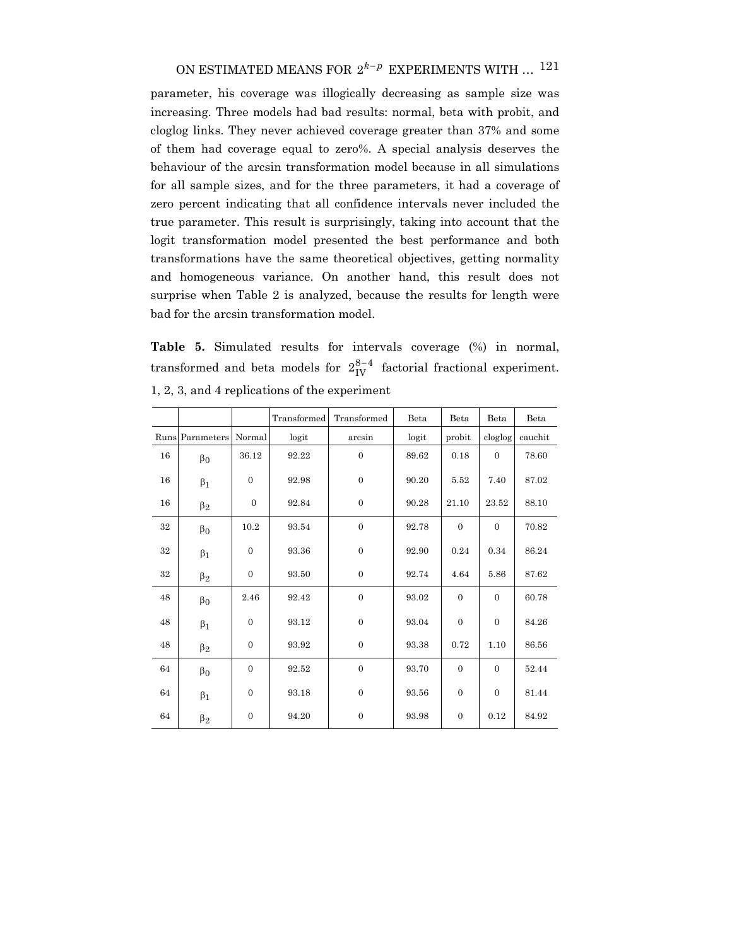parameter, his coverage was illogically decreasing as sample size was increasing. Three models had bad results: normal, beta with probit, and cloglog links. They never achieved coverage greater than 37% and some of them had coverage equal to zero%. A special analysis deserves the behaviour of the arcsin transformation model because in all simulations for all sample sizes, and for the three parameters, it had a coverage of zero percent indicating that all confidence intervals never included the true parameter. This result is surprisingly, taking into account that the logit transformation model presented the best performance and both transformations have the same theoretical objectives, getting normality and homogeneous variance. On another hand, this result does not surprise when Table 2 is analyzed, because the results for length were bad for the arcsin transformation model.

**Table 5.** Simulated results for intervals coverage (%) in normal, transformed and beta models for  $2_{\text{IV}}^{8-4}$  factorial fractional experiment. 1, 2, 3, and 4 replications of the experiment

|        |             |                  | Transformed | Transformed      | Beta  | Beta           | Beta             | Beta    |
|--------|-------------|------------------|-------------|------------------|-------|----------------|------------------|---------|
| Runs   | Parameters  | Normal           | logit       | arcsin           | logit | probit         | cloglog          | cauchit |
| $16\,$ | $\beta_0$   | 36.12            | 92.22       | $\overline{0}$   | 89.62 | 0.18           | $\overline{0}$   | 78.60   |
| 16     | $\beta_1$   | $\boldsymbol{0}$ | 92.98       | $\overline{0}$   | 90.20 | 5.52           | 7.40             | 87.02   |
| 16     | $\beta_2$   | $\boldsymbol{0}$ | 92.84       | $\boldsymbol{0}$ | 90.28 | 21.10          | 23.52            | 88.10   |
| $32\,$ | $\beta_0$   | 10.2             | 93.54       | $\overline{0}$   | 92.78 | $\overline{0}$ | $\overline{0}$   | 70.82   |
| $32\,$ | $\beta_1$   | $\boldsymbol{0}$ | 93.36       | $\boldsymbol{0}$ | 92.90 | 0.24           | 0.34             | 86.24   |
| $32\,$ | $\beta_2$   | $\boldsymbol{0}$ | 93.50       | $\overline{0}$   | 92.74 | 4.64           | 5.86             | 87.62   |
| 48     | $\beta_0$   | 2.46             | 92.42       | $\overline{0}$   | 93.02 | $\Omega$       | $\overline{0}$   | 60.78   |
| 48     | $\beta_1$   | $\boldsymbol{0}$ | 93.12       | $\mathbf{0}$     | 93.04 | $\mathbf{0}$   | $\boldsymbol{0}$ | 84.26   |
| 48     | $\beta_2$   | $\boldsymbol{0}$ | 93.92       | $\boldsymbol{0}$ | 93.38 | 0.72           | 1.10             | 86.56   |
| 64     | $\beta_0$   | $\mathbf{0}$     | 92.52       | $\overline{0}$   | 93.70 | $\mathbf{0}$   | $\overline{0}$   | 52.44   |
| 64     | $\beta_1$   | $\boldsymbol{0}$ | 93.18       | $\overline{0}$   | 93.56 | $\mathbf{0}$   | $\boldsymbol{0}$ | 81.44   |
| 64     | $\upbeta_2$ | $\boldsymbol{0}$ | 94.20       | $\mathbf{0}$     | 93.98 | $\mathbf{0}$   | 0.12             | 84.92   |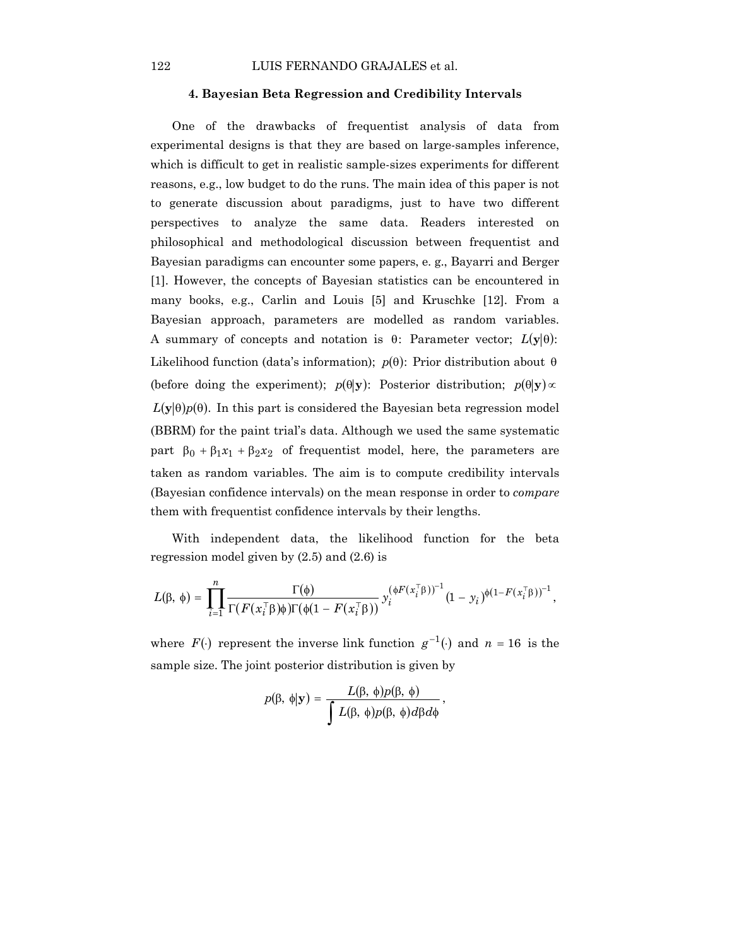#### **4. Bayesian Beta Regression and Credibility Intervals**

One of the drawbacks of frequentist analysis of data from experimental designs is that they are based on large-samples inference, which is difficult to get in realistic sample-sizes experiments for different reasons, e.g., low budget to do the runs. The main idea of this paper is not to generate discussion about paradigms, just to have two different perspectives to analyze the same data. Readers interested on philosophical and methodological discussion between frequentist and Bayesian paradigms can encounter some papers, e. g., Bayarri and Berger [1]. However, the concepts of Bayesian statistics can be encountered in many books, e.g., Carlin and Louis [5] and Kruschke [12]. From a Bayesian approach, parameters are modelled as random variables. A summary of concepts and notation is  $\theta$ : Parameter vector;  $L(\mathbf{y}|\theta)$ : Likelihood function (data's information); *p*(θ): Prior distribution about θ (before doing the experiment);  $p(\theta | \mathbf{y})$ : Posterior distribution;  $p(\theta | \mathbf{y}) \propto$  $L(y|\theta)p(\theta)$ . In this part is considered the Bayesian beta regression model (BBRM) for the paint trial's data. Although we used the same systematic part  $β_0 + β_1x_1 + β_2x_2$  of frequentist model, here, the parameters are taken as random variables. The aim is to compute credibility intervals (Bayesian confidence intervals) on the mean response in order to *compare* them with frequentist confidence intervals by their lengths.

With independent data, the likelihood function for the beta regression model given by (2.5) and (2.6) is

$$
L(\beta, \phi) = \prod_{i=1}^n \frac{\Gamma(\phi)}{\Gamma(F(x_i^\top \beta) \phi) \Gamma(\phi(1 - F(x_i^\top \beta)))} y_i^{(\phi F(x_i^\top \beta))^{-1}} (1 - y_i)^{\phi(1 - F(x_i^\top \beta))^{-1}},
$$

where  $F(\cdot)$  represent the inverse link function  $g^{-1}(\cdot)$  and  $n = 16$  is the sample size. The joint posterior distribution is given by

$$
p(\beta, \phi | \mathbf{y}) = \frac{L(\beta, \phi) p(\beta, \phi)}{\int L(\beta, \phi) p(\beta, \phi) d\beta d\phi},
$$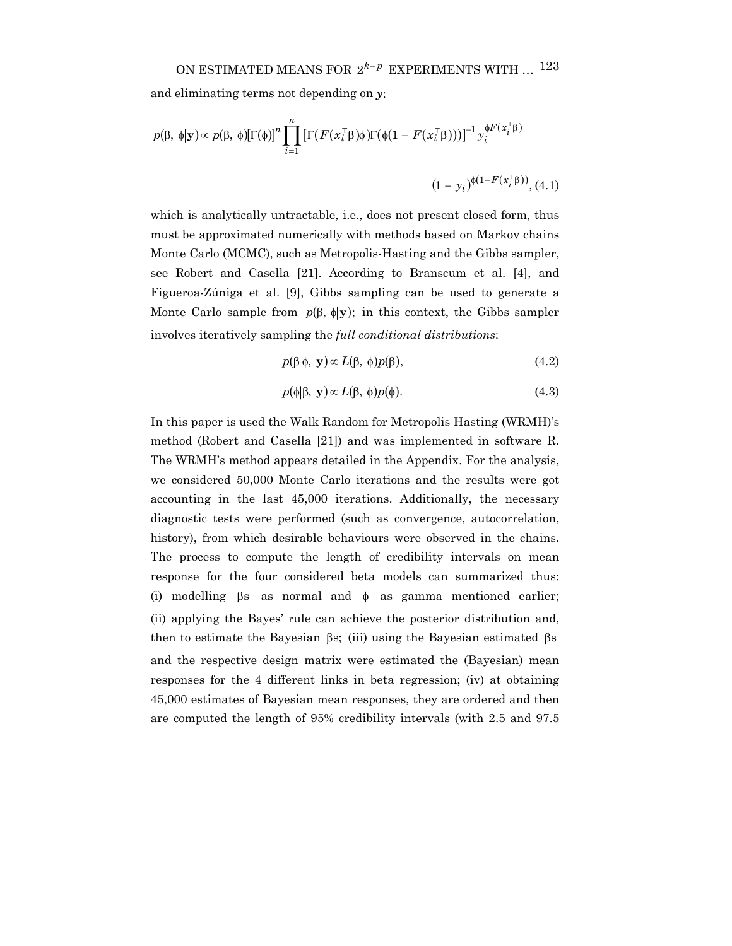and eliminating terms not depending on *y*:

$$
p(\beta, \phi | \mathbf{y}) \propto p(\beta, \phi) [\Gamma(\phi)]^n \prod_{i=1}^n \left[ \Gamma(F(x_i^\top \beta) \phi) \Gamma(\phi(1 - F(x_i^\top \beta))) \right]^{-1} y_i^{\phi F(x_i^\top \beta)}
$$
  

$$
(1 - y_i)^{\phi(1 - F(x_i^\top \beta))}, (4.1)
$$

which is analytically untractable, i.e., does not present closed form, thus must be approximated numerically with methods based on Markov chains Monte Carlo (MCMC), such as Metropolis-Hasting and the Gibbs sampler, see Robert and Casella [21]. According to Branscum et al. [4], and Figueroa-Zúniga et al. [9], Gibbs sampling can be used to generate a Monte Carlo sample from  $p(\beta, \phi | \mathbf{y})$ ; in this context, the Gibbs sampler involves iteratively sampling the *full conditional distributions*:

$$
p(\beta|\phi, \mathbf{y}) \propto L(\beta, \phi)p(\beta), \qquad (4.2)
$$

$$
p(\phi|\beta, \mathbf{y}) \propto L(\beta, \phi)p(\phi). \tag{4.3}
$$

In this paper is used the Walk Random for Metropolis Hasting (WRMH)'s method (Robert and Casella [21]) and was implemented in software R. The WRMH's method appears detailed in the Appendix. For the analysis, we considered 50,000 Monte Carlo iterations and the results were got accounting in the last 45,000 iterations. Additionally, the necessary diagnostic tests were performed (such as convergence, autocorrelation, history), from which desirable behaviours were observed in the chains. The process to compute the length of credibility intervals on mean response for the four considered beta models can summarized thus: (i) modelling βs as normal and φ as gamma mentioned earlier; (ii) applying the Bayes' rule can achieve the posterior distribution and, then to estimate the Bayesian βs; (iii) using the Bayesian estimated βs and the respective design matrix were estimated the (Bayesian) mean responses for the 4 different links in beta regression; (iv) at obtaining 45,000 estimates of Bayesian mean responses, they are ordered and then are computed the length of 95% credibility intervals (with 2.5 and 97.5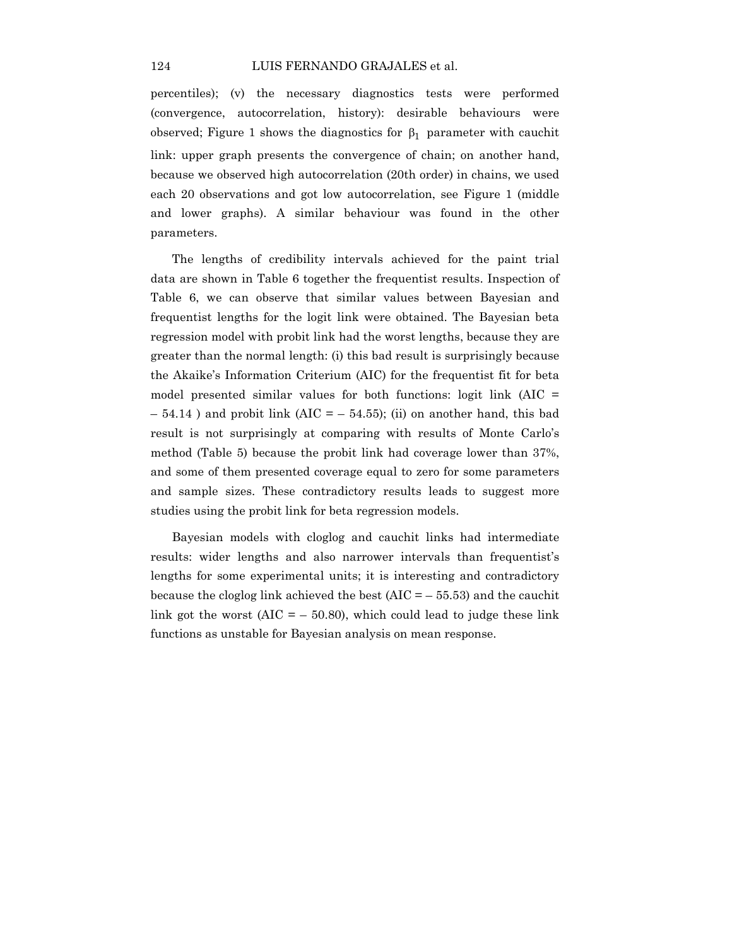percentiles); (v) the necessary diagnostics tests were performed (convergence, autocorrelation, history): desirable behaviours were observed; Figure 1 shows the diagnostics for  $β_1$  parameter with cauchit link: upper graph presents the convergence of chain; on another hand, because we observed high autocorrelation (20th order) in chains, we used each 20 observations and got low autocorrelation, see Figure 1 (middle and lower graphs). A similar behaviour was found in the other parameters.

The lengths of credibility intervals achieved for the paint trial data are shown in Table 6 together the frequentist results. Inspection of Table 6, we can observe that similar values between Bayesian and frequentist lengths for the logit link were obtained. The Bayesian beta regression model with probit link had the worst lengths, because they are greater than the normal length: (i) this bad result is surprisingly because the Akaike's Information Criterium (AIC) for the frequentist fit for beta model presented similar values for both functions: logit link (AIC =  $-54.14$ ) and probit link (AIC =  $-54.55$ ); (ii) on another hand, this bad result is not surprisingly at comparing with results of Monte Carlo's method (Table 5) because the probit link had coverage lower than 37%, and some of them presented coverage equal to zero for some parameters and sample sizes. These contradictory results leads to suggest more studies using the probit link for beta regression models.

Bayesian models with cloglog and cauchit links had intermediate results: wider lengths and also narrower intervals than frequentist's lengths for some experimental units; it is interesting and contradictory because the cloglog link achieved the best  $(AIC = -55.53)$  and the cauchit link got the worst  $(AIC = -50.80)$ , which could lead to judge these link functions as unstable for Bayesian analysis on mean response.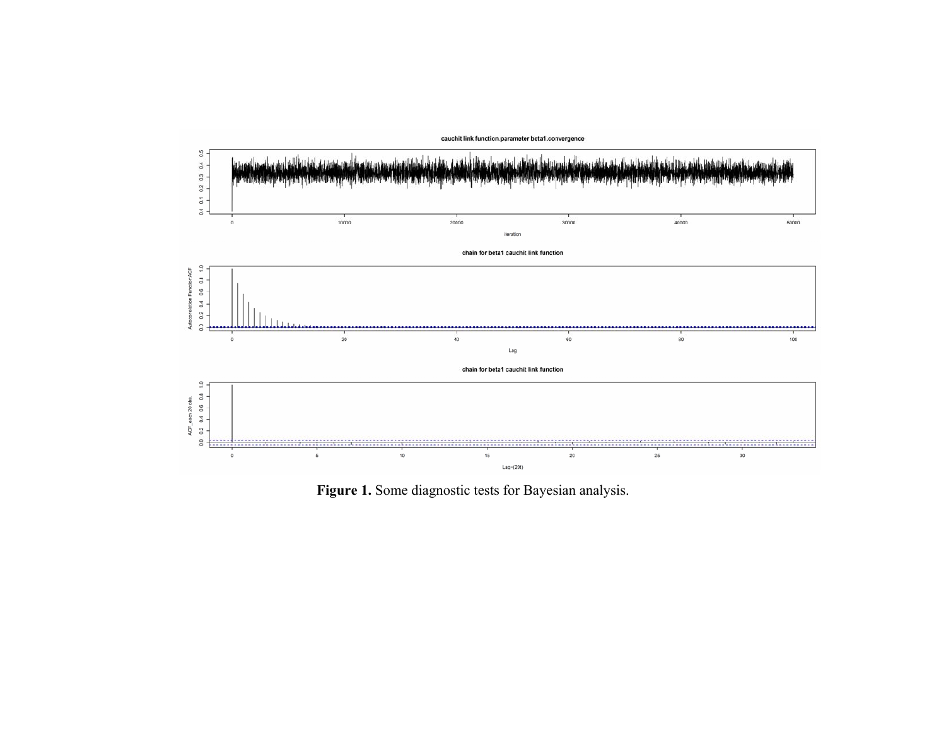

**Figure 1.** Some diagnostic tests for Bayesian analysis.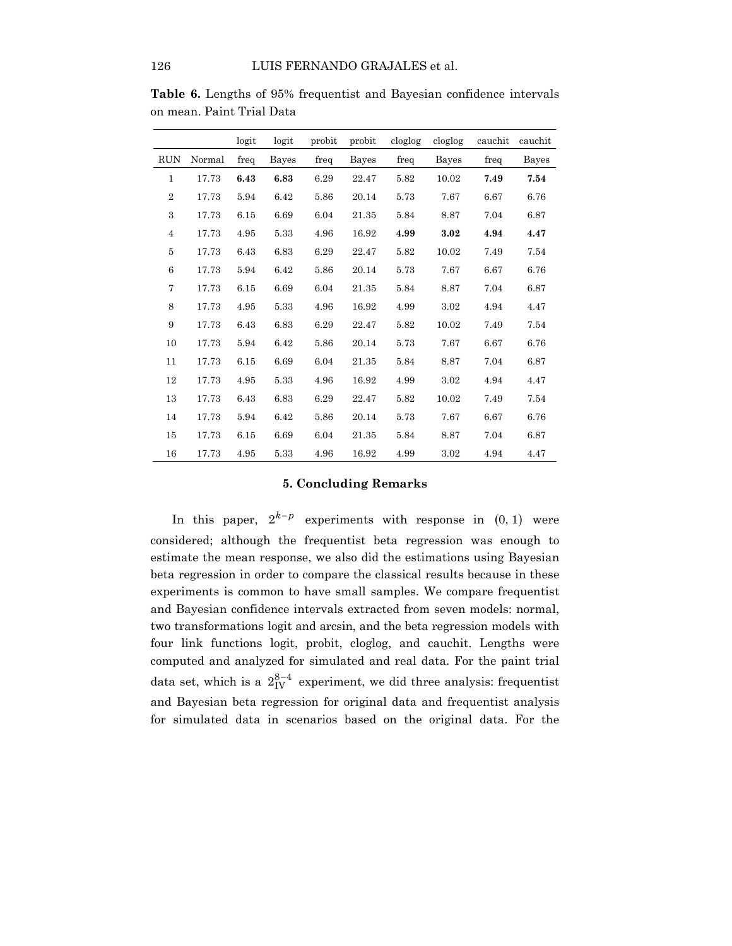|                |        | logit | logit | probit | probit | cloglog | cloglog | cauchit | cauchit |
|----------------|--------|-------|-------|--------|--------|---------|---------|---------|---------|
| <b>RUN</b>     | Normal | freq  | Bayes | freq   | Bayes  | freq    | Bayes   | freq    | Bayes   |
| $\mathbf{1}$   | 17.73  | 6.43  | 6.83  | 6.29   | 22.47  | 5.82    | 10.02   | 7.49    | 7.54    |
| $\overline{2}$ | 17.73  | 5.94  | 6.42  | 5.86   | 20.14  | 5.73    | 7.67    | 6.67    | 6.76    |
| 3              | 17.73  | 6.15  | 6.69  | 6.04   | 21.35  | 5.84    | 8.87    | 7.04    | 6.87    |
| $\overline{4}$ | 17.73  | 4.95  | 5.33  | 4.96   | 16.92  | 4.99    | 3.02    | 4.94    | 4.47    |
| 5              | 17.73  | 6.43  | 6.83  | 6.29   | 22.47  | 5.82    | 10.02   | 7.49    | 7.54    |
| 6              | 17.73  | 5.94  | 6.42  | 5.86   | 20.14  | 5.73    | 7.67    | 6.67    | 6.76    |
| $\overline{7}$ | 17.73  | 6.15  | 6.69  | 6.04   | 21.35  | 5.84    | 8.87    | 7.04    | 6.87    |
| 8              | 17.73  | 4.95  | 5.33  | 4.96   | 16.92  | 4.99    | 3.02    | 4.94    | 4.47    |
| 9              | 17.73  | 6.43  | 6.83  | 6.29   | 22.47  | 5.82    | 10.02   | 7.49    | 7.54    |
| 10             | 17.73  | 5.94  | 6.42  | 5.86   | 20.14  | 5.73    | 7.67    | 6.67    | 6.76    |
| 11             | 17.73  | 6.15  | 6.69  | 6.04   | 21.35  | 5.84    | 8.87    | 7.04    | 6.87    |
| 12             | 17.73  | 4.95  | 5.33  | 4.96   | 16.92  | 4.99    | 3.02    | 4.94    | 4.47    |
| 13             | 17.73  | 6.43  | 6.83  | 6.29   | 22.47  | 5.82    | 10.02   | 7.49    | 7.54    |
| 14             | 17.73  | 5.94  | 6.42  | 5.86   | 20.14  | 5.73    | 7.67    | 6.67    | 6.76    |
| 15             | 17.73  | 6.15  | 6.69  | 6.04   | 21.35  | 5.84    | 8.87    | 7.04    | 6.87    |
| 16             | 17.73  | 4.95  | 5.33  | 4.96   | 16.92  | 4.99    | 3.02    | 4.94    | 4.47    |

**Table 6.** Lengths of 95% frequentist and Bayesian confidence intervals on mean. Paint Trial Data

# **5. Concluding Remarks**

In this paper,  $2^{k-p}$  experiments with response in  $(0, 1)$  were considered; although the frequentist beta regression was enough to estimate the mean response, we also did the estimations using Bayesian beta regression in order to compare the classical results because in these experiments is common to have small samples. We compare frequentist and Bayesian confidence intervals extracted from seven models: normal, two transformations logit and arcsin, and the beta regression models with four link functions logit, probit, cloglog, and cauchit. Lengths were computed and analyzed for simulated and real data. For the paint trial data set, which is a  $2_{\text{IV}}^{8-4}$  experiment, we did three analysis: frequentist and Bayesian beta regression for original data and frequentist analysis for simulated data in scenarios based on the original data. For the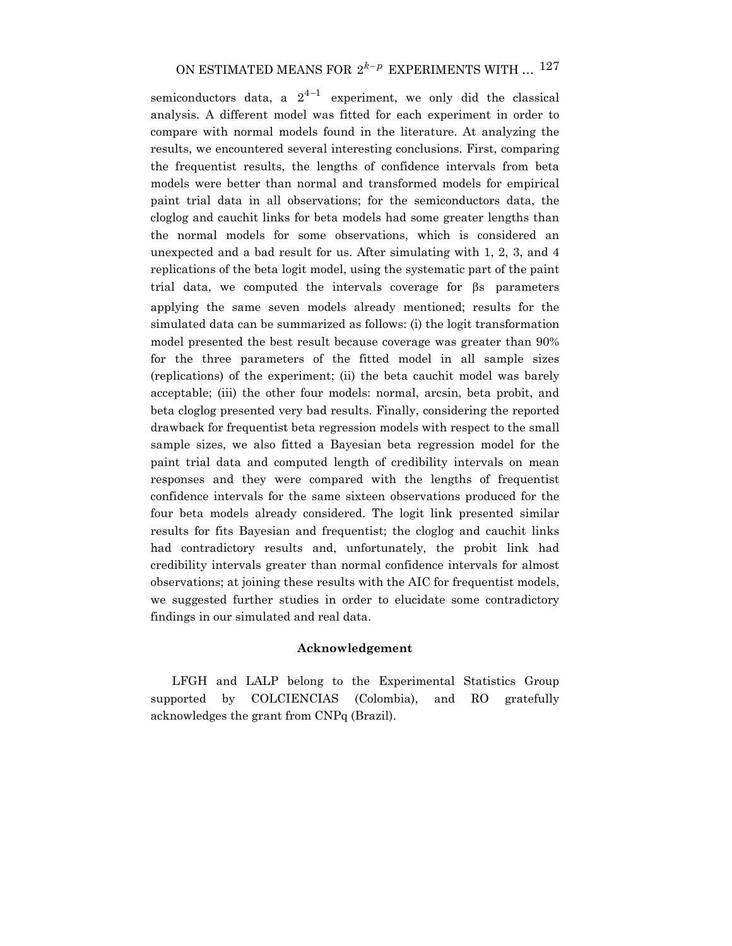semiconductors data, a  $2^{4-1}$  experiment, we only did the classical analysis. A different model was fitted for each experiment in order to compare with normal models found in the literature. At analyzing the results, we encountered several interesting conclusions. First, comparing the frequentist results, the lengths of confidence intervals from beta models were better than normal and transformed models for empirical paint trial data in all observations; for the semiconductors data, the cloglog and cauchit links for beta models had some greater lengths than the normal models for some observations, which is considered an unexpected and a bad result for us. After simulating with 1, 2, 3, and 4 replications of the beta logit model, using the systematic part of the paint trial data, we computed the intervals coverage for βs parameters applying the same seven models already mentioned; results for the simulated data can be summarized as follows: (i) the logit transformation model presented the best result because coverage was greater than 90% for the three parameters of the fitted model in all sample sizes (replications) of the experiment; (ii) the beta cauchit model was barely acceptable; (iii) the other four models: normal, arcsin, beta probit, and beta cloglog presented very bad results. Finally, considering the reported drawback for frequentist beta regression models with respect to the small sample sizes, we also fitted a Bayesian beta regression model for the paint trial data and computed length of credibility intervals on mean responses and they were compared with the lengths of frequentist confidence intervals for the same sixteen observations produced for the four beta models already considered. The logit link presented similar results for fits Bayesian and frequentist; the cloglog and cauchit links had contradictory results and, unfortunately, the probit link had credibility intervals greater than normal confidence intervals for almost observations; at joining these results with the AIC for frequentist models, we suggested further studies in order to elucidate some contradictory findings in our simulated and real data.

# **Acknowledgement**

LFGH and LALP belong to the Experimental Statistics Group supported by COLCIENCIAS (Colombia), and RO gratefully acknowledges the grant from CNPq (Brazil).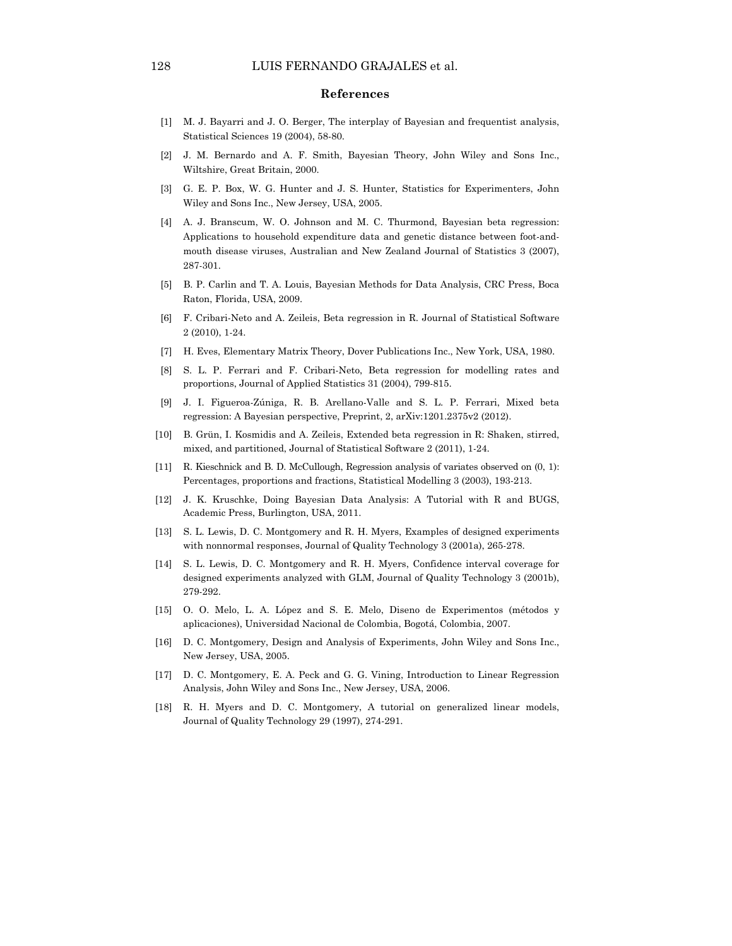#### **References**

- [1] M. J. Bayarri and J. O. Berger, The interplay of Bayesian and frequentist analysis, Statistical Sciences 19 (2004), 58-80.
- [2] J. M. Bernardo and A. F. Smith, Bayesian Theory, John Wiley and Sons Inc., Wiltshire, Great Britain, 2000.
- [3] G. E. P. Box, W. G. Hunter and J. S. Hunter, Statistics for Experimenters, John Wiley and Sons Inc., New Jersey, USA, 2005.
- [4] A. J. Branscum, W. O. Johnson and M. C. Thurmond, Bayesian beta regression: Applications to household expenditure data and genetic distance between foot-andmouth disease viruses, Australian and New Zealand Journal of Statistics 3 (2007), 287-301.
- [5] B. P. Carlin and T. A. Louis, Bayesian Methods for Data Analysis, CRC Press, Boca Raton, Florida, USA, 2009.
- [6] F. Cribari-Neto and A. Zeileis, Beta regression in R. Journal of Statistical Software 2 (2010), 1-24.
- [7] H. Eves, Elementary Matrix Theory, Dover Publications Inc., New York, USA, 1980.
- [8] S. L. P. Ferrari and F. Cribari-Neto, Beta regression for modelling rates and proportions, Journal of Applied Statistics 31 (2004), 799-815.
- [9] J. I. Figueroa-Zúniga, R. B. Arellano-Valle and S. L. P. Ferrari, Mixed beta regression: A Bayesian perspective, Preprint, 2, arXiv:1201.2375v2 (2012).
- [10] B. Grün, I. Kosmidis and A. Zeileis, Extended beta regression in R: Shaken, stirred, mixed, and partitioned, Journal of Statistical Software 2 (2011), 1-24.
- [11] R. Kieschnick and B. D. McCullough, Regression analysis of variates observed on (0, 1): Percentages, proportions and fractions, Statistical Modelling 3 (2003), 193-213.
- [12] J. K. Kruschke, Doing Bayesian Data Analysis: A Tutorial with R and BUGS, Academic Press, Burlington, USA, 2011.
- [13] S. L. Lewis, D. C. Montgomery and R. H. Myers, Examples of designed experiments with nonnormal responses, Journal of Quality Technology 3 (2001a), 265-278.
- [14] S. L. Lewis, D. C. Montgomery and R. H. Myers, Confidence interval coverage for designed experiments analyzed with GLM, Journal of Quality Technology 3 (2001b), 279-292.
- [15] O. O. Melo, L. A. López and S. E. Melo, Diseno de Experimentos (métodos y aplicaciones), Universidad Nacional de Colombia, Bogotá, Colombia, 2007.
- [16] D. C. Montgomery, Design and Analysis of Experiments, John Wiley and Sons Inc., New Jersey, USA, 2005.
- [17] D. C. Montgomery, E. A. Peck and G. G. Vining, Introduction to Linear Regression Analysis, John Wiley and Sons Inc., New Jersey, USA, 2006.
- [18] R. H. Myers and D. C. Montgomery, A tutorial on generalized linear models, Journal of Quality Technology 29 (1997), 274-291.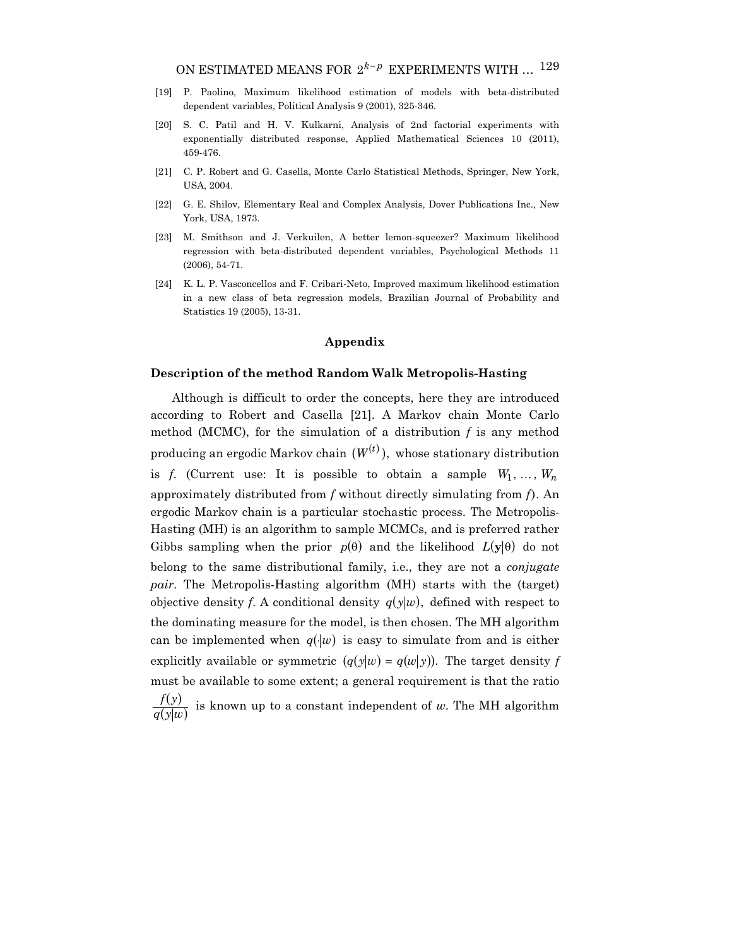- [19] P. Paolino, Maximum likelihood estimation of models with beta-distributed dependent variables, Political Analysis 9 (2001), 325-346.
- [20] S. C. Patil and H. V. Kulkarni, Analysis of 2nd factorial experiments with exponentially distributed response, Applied Mathematical Sciences 10 (2011), 459-476.
- [21] C. P. Robert and G. Casella, Monte Carlo Statistical Methods, Springer, New York, USA, 2004.
- [22] G. E. Shilov, Elementary Real and Complex Analysis, Dover Publications Inc., New York, USA, 1973.
- [23] M. Smithson and J. Verkuilen, A better lemon-squeezer? Maximum likelihood regression with beta-distributed dependent variables, Psychological Methods 11 (2006), 54-71.
- [24] K. L. P. Vasconcellos and F. Cribari-Neto, Improved maximum likelihood estimation in a new class of beta regression models, Brazilian Journal of Probability and Statistics 19 (2005), 13-31.

#### **Appendix**

## **Description of the method Random Walk Metropolis-Hasting**

Although is difficult to order the concepts, here they are introduced according to Robert and Casella [21]. A Markov chain Monte Carlo method (MCMC), for the simulation of a distribution *f* is any method producing an ergodic Markov chain  $(W^{(t)})$ , whose stationary distribution is *f.* (Current use: It is possible to obtain a sample  $W_1, \ldots, W_n$ approximately distributed from *f* without directly simulating from *f*). An ergodic Markov chain is a particular stochastic process. The Metropolis-Hasting (MH) is an algorithm to sample MCMCs, and is preferred rather Gibbs sampling when the prior  $p(\theta)$  and the likelihood  $L(\mathbf{y}|\theta)$  do not belong to the same distributional family, i.e., they are not a *conjugate pair*. The Metropolis-Hasting algorithm (MH) starts with the (target) objective density *f*. A conditional density  $q(y|w)$ , defined with respect to the dominating measure for the model, is then chosen. The MH algorithm can be implemented when  $q(\cdot|w)$  is easy to simulate from and is either explicitly available or symmetric  $(q(y|w) = q(w|y))$ . The target density f must be available to some extent; a general requirement is that the ratio  $(y)$  $\frac{f(y)}{q(y|w)}$  is known up to a constant independent of *w*. The MH algorithm